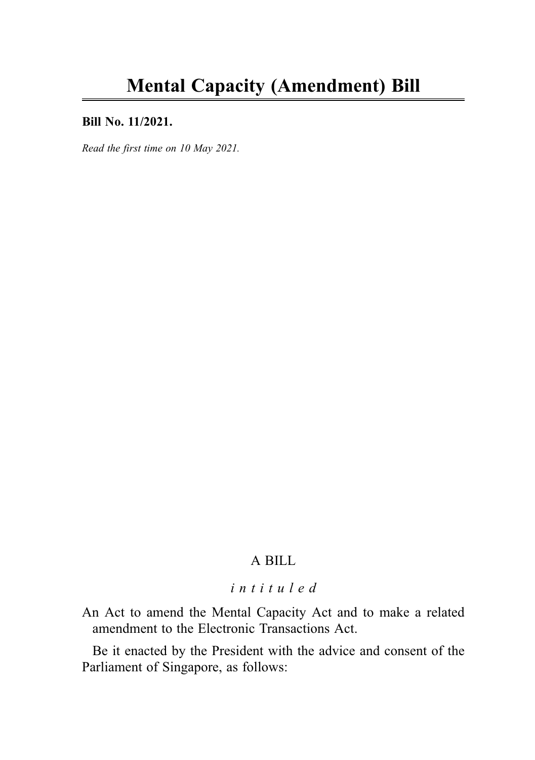## Bill No. 11/2021.

Read the first time on 10 May 2021.

# A BILL

# intituled

An Act to amend the Mental Capacity Act and to make a related amendment to the Electronic Transactions Act.

Be it enacted by the President with the advice and consent of the Parliament of Singapore, as follows: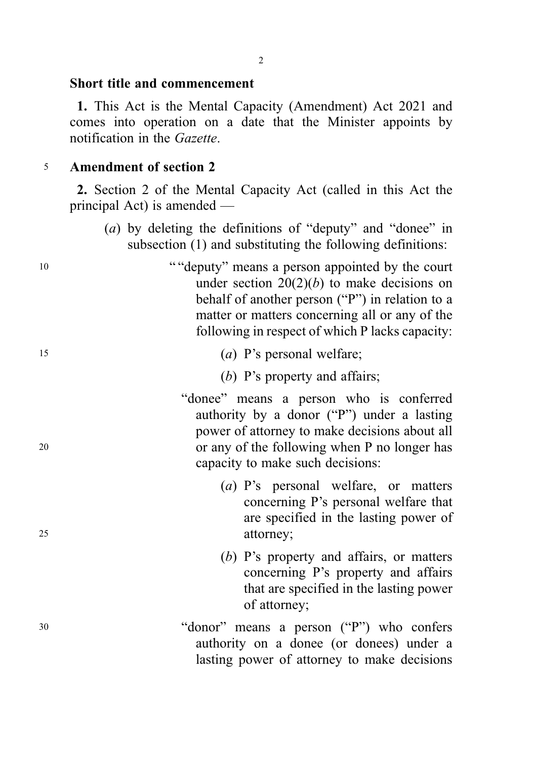## Short title and commencement

1. This Act is the Mental Capacity (Amendment) Act 2021 and comes into operation on a date that the Minister appoints by notification in the Gazette.

## <sup>5</sup> Amendment of section 2

2. Section 2 of the Mental Capacity Act (called in this Act the principal Act) is amended —

- (a) by deleting the definitions of "deputy" and "donee" in subsection (1) and substituting the following definitions:
- <sup>10</sup> " "deputy" means a person appointed by the court under section  $20(2)(b)$  to make decisions on behalf of another person ("P") in relation to a matter or matters concerning all or any of the following in respect of which P lacks capacity:
- <sup>15</sup> (a) P's personal welfare;
	- (b) P's property and affairs:
- "donee" means a person who is conferred authority by a donor ("P") under a lasting power of attorney to make decisions about all <sup>20</sup> or any of the following when P no longer has capacity to make such decisions:
- (a) P's personal welfare, or matters concerning P's personal welfare that are specified in the lasting power of 25 attorney;
	- (b) P's property and affairs, or matters concerning P's property and affairs that are specified in the lasting power of attorney;
- <sup>30</sup> "donor" means a person ("P") who confers authority on a donee (or donees) under a lasting power of attorney to make decisions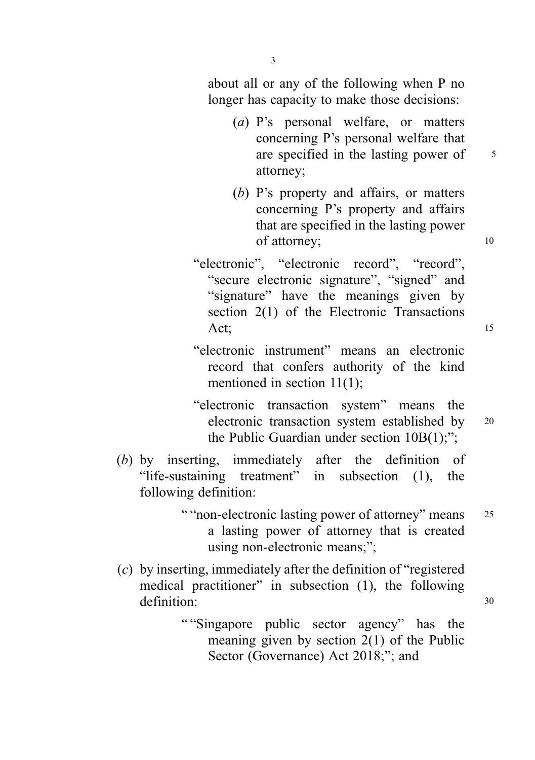3

about all or any of the following when P no longer has capacity to make those decisions:

- (a) P's personal welfare, or matters concerning P's personal welfare that are specified in the lasting power of  $\frac{5}{5}$ attorney;
- (b) P's property and affairs, or matters concerning P's property and affairs that are specified in the lasting power of attorney; 10
- "electronic", "electronic record", "record", "secure electronic signature", "signed" and "signature" have the meanings given by section 2(1) of the Electronic Transactions Act;  $\qquad \qquad$  15
- "electronic instrument" means an electronic record that confers authority of the kind mentioned in section 11(1);
- "electronic transaction system" means the electronic transaction system established by <sup>20</sup> the Public Guardian under section 10B(1);";
- (b) by inserting, immediately after the definition of "life-sustaining treatment" in subsection (1), the following definition:
	- " "non-electronic lasting power of attorney" means 25 a lasting power of attorney that is created using non-electronic means:":
- (c) by inserting, immediately after the definition of "registered medical practitioner" in subsection (1), the following definition: 30
	- " "Singapore public sector agency" has the meaning given by section 2(1) of the Public Sector (Governance) Act 2018;"; and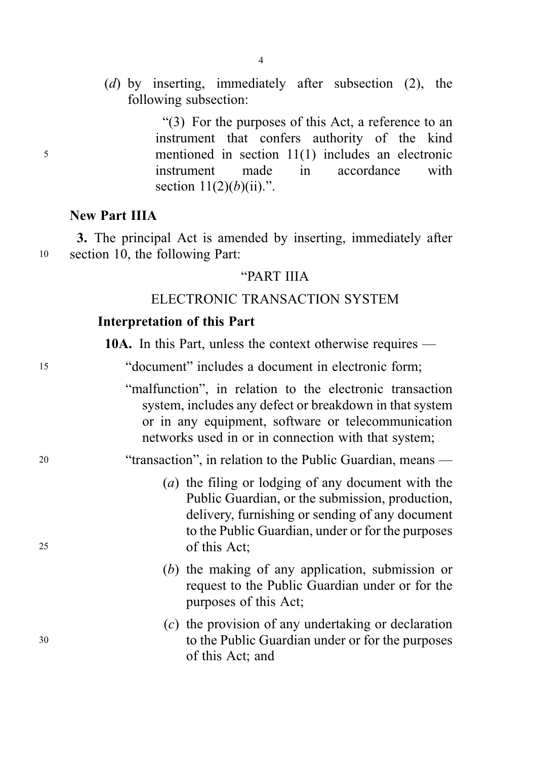(d) by inserting, immediately after subsection (2), the following subsection:

"(3) For the purposes of this Act, a reference to an instrument that confers authority of the kind <sup>5</sup> mentioned in section 11(1) includes an electronic instrument made in accordance with section  $11(2)(b)(ii)$ .".

# New Part IIIA

3. The principal Act is amended by inserting, immediately after <sup>10</sup> section 10, the following Part:

## "PART IIIA

# ELECTRONIC TRANSACTION SYSTEM

## Interpretation of this Part

10A. In this Part, unless the context otherwise requires —

| "document" includes a document in electronic form; |  |
|----------------------------------------------------|--|
|----------------------------------------------------|--|

"malfunction", in relation to the electronic transaction system, includes any defect or breakdown in that system or in any equipment, software or telecommunication networks used in or in connection with that system;

<sup>20</sup> "transaction", in relation to the Public Guardian, means —

- (a) the filing or lodging of any document with the Public Guardian, or the submission, production, delivery, furnishing or sending of any document to the Public Guardian, under or for the purposes <sup>25</sup> of this Act;
	- (b) the making of any application, submission or request to the Public Guardian under or for the purposes of this Act;
- (c) the provision of any undertaking or declaration <sup>30</sup> to the Public Guardian under or for the purposes of this Act; and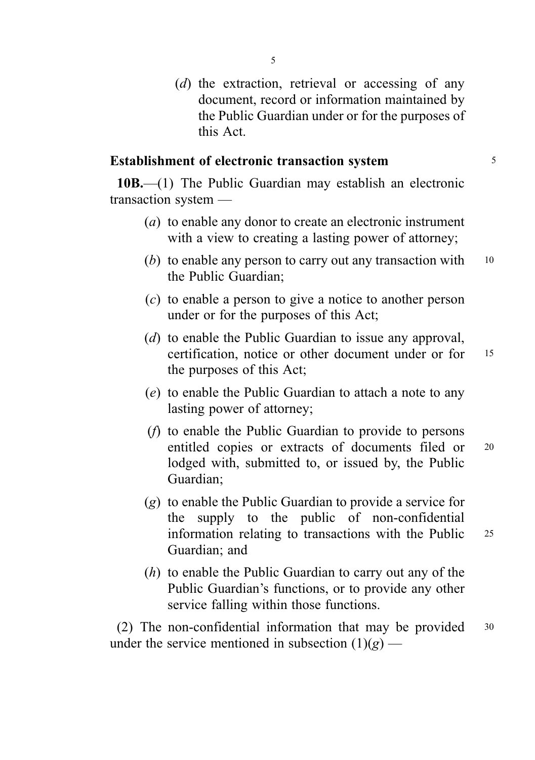(d) the extraction, retrieval or accessing of any document, record or information maintained by the Public Guardian under or for the purposes of this Act.

## Establishment of electronic transaction system 5

10B.—(1) The Public Guardian may establish an electronic transaction system —

- (a) to enable any donor to create an electronic instrument with a view to creating a lasting power of attorney;
- (b) to enable any person to carry out any transaction with  $10$ the Public Guardian;
- (c) to enable a person to give a notice to another person under or for the purposes of this Act;
- (d) to enable the Public Guardian to issue any approval, certification, notice or other document under or for <sup>15</sup> the purposes of this Act;
- (e) to enable the Public Guardian to attach a note to any lasting power of attorney;
- (f) to enable the Public Guardian to provide to persons entitled copies or extracts of documents filed or <sup>20</sup> lodged with, submitted to, or issued by, the Public Guardian;
- (g) to enable the Public Guardian to provide a service for the supply to the public of non-confidential information relating to transactions with the Public 25 Guardian; and
- (h) to enable the Public Guardian to carry out any of the Public Guardian's functions, or to provide any other service falling within those functions.

(2) The non-confidential information that may be provided <sup>30</sup> under the service mentioned in subsection  $(1)(g)$  —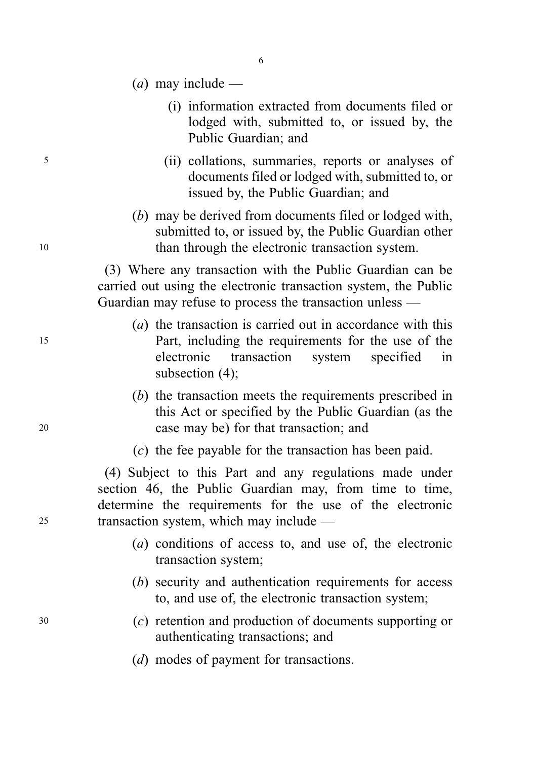- (*a*) may include
	- (i) information extracted from documents filed or lodged with, submitted to, or issued by, the Public Guardian; and
- <sup>5</sup> (ii) collations, summaries, reports or analyses of documents filed or lodged with, submitted to, or issued by, the Public Guardian; and
- (b) may be derived from documents filed or lodged with, submitted to, or issued by, the Public Guardian other <sup>10</sup> than through the electronic transaction system.

(3) Where any transaction with the Public Guardian can be carried out using the electronic transaction system, the Public Guardian may refuse to process the transaction unless —

- (a) the transaction is carried out in accordance with this <sup>15</sup> Part, including the requirements for the use of the electronic transaction system specified in subsection (4);
- (b) the transaction meets the requirements prescribed in this Act or specified by the Public Guardian (as the <sup>20</sup> case may be) for that transaction; and
	- (c) the fee payable for the transaction has been paid.

(4) Subject to this Part and any regulations made under section 46, the Public Guardian may, from time to time, determine the requirements for the use of the electronic <sup>25</sup> transaction system, which may include —

- (a) conditions of access to, and use of, the electronic transaction system;
- (b) security and authentication requirements for access to, and use of, the electronic transaction system;
- <sup>30</sup> (c) retention and production of documents supporting or authenticating transactions; and
	- (*d*) modes of payment for transactions.

6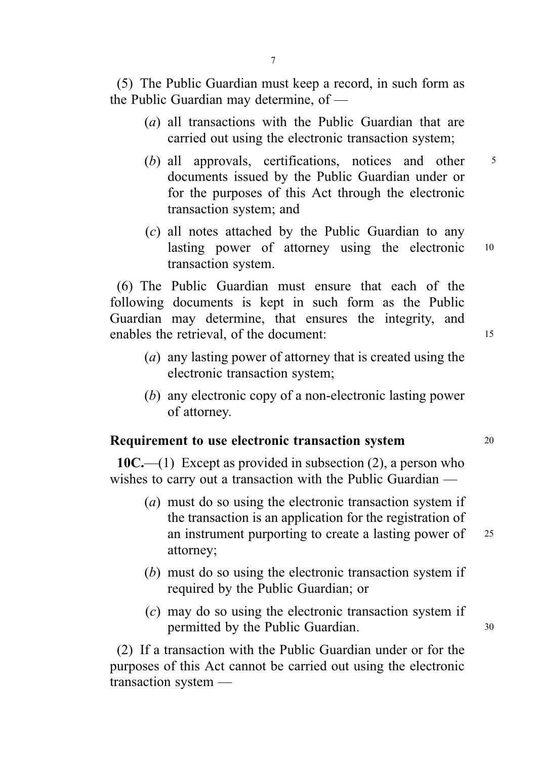(5) The Public Guardian must keep a record, in such form as the Public Guardian may determine, of —

- (a) all transactions with the Public Guardian that are carried out using the electronic transaction system;
- (b) all approvals, certifications, notices and other  $5$ documents issued by the Public Guardian under or for the purposes of this Act through the electronic transaction system; and
- (c) all notes attached by the Public Guardian to any lasting power of attorney using the electronic <sup>10</sup> transaction system.

(6) The Public Guardian must ensure that each of the following documents is kept in such form as the Public Guardian may determine, that ensures the integrity, and enables the retrieval, of the document: 15

- (a) any lasting power of attorney that is created using the electronic transaction system;
- (b) any electronic copy of a non-electronic lasting power of attorney.

# Requirement to use electronic transaction system 20

 $10C$ —(1) Except as provided in subsection (2), a person who wishes to carry out a transaction with the Public Guardian —

- (a) must do so using the electronic transaction system if the transaction is an application for the registration of an instrument purporting to create a lasting power of 25 attorney;
- (b) must do so using the electronic transaction system if required by the Public Guardian; or
- (c) may do so using the electronic transaction system if permitted by the Public Guardian. 30

(2) If a transaction with the Public Guardian under or for the purposes of this Act cannot be carried out using the electronic transaction system —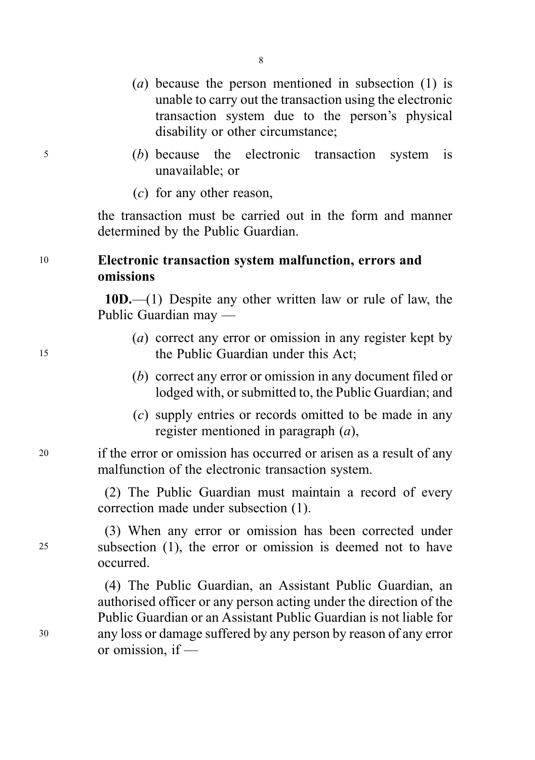- (a) because the person mentioned in subsection (1) is unable to carry out the transaction using the electronic transaction system due to the person's physical disability or other circumstance;
- <sup>5</sup> (b) because the electronic transaction system is unavailable; or
	- (c) for any other reason,

the transaction must be carried out in the form and manner determined by the Public Guardian.

# <sup>10</sup> Electronic transaction system malfunction, errors and omissions

10D.—(1) Despite any other written law or rule of law, the Public Guardian may —

- (a) correct any error or omission in any register kept by 15 the Public Guardian under this Act:
	- (b) correct any error or omission in any document filed or lodged with, or submitted to, the Public Guardian; and
	- (c) supply entries or records omitted to be made in any register mentioned in paragraph (a),

<sup>20</sup> if the error or omission has occurred or arisen as a result of any malfunction of the electronic transaction system.

> (2) The Public Guardian must maintain a record of every correction made under subsection (1).

(3) When any error or omission has been corrected under <sup>25</sup> subsection (1), the error or omission is deemed not to have occurred.

(4) The Public Guardian, an Assistant Public Guardian, an authorised officer or any person acting under the direction of the Public Guardian or an Assistant Public Guardian is not liable for <sup>30</sup> any loss or damage suffered by any person by reason of any error or omission, if —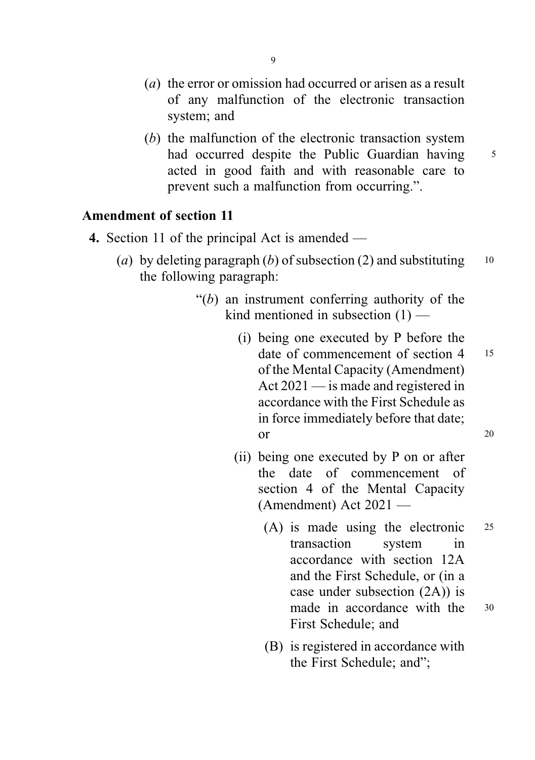- (*a*) the error or omission had occurred or arisen as a result of any malfunction of the electronic transaction system; and
- (b) the malfunction of the electronic transaction system had occurred despite the Public Guardian having 5 acted in good faith and with reasonable care to prevent such a malfunction from occurring.".

# Amendment of section 11

- 4. Section 11 of the principal Act is amended
	- (a) by deleting paragraph (b) of subsection (2) and substituting  $10$ the following paragraph:
		- " $(b)$  an instrument conferring authority of the kind mentioned in subsection  $(1)$  —
			- (i) being one executed by P before the date of commencement of section 4 15 of the Mental Capacity (Amendment) Act 2021 — is made and registered in accordance with the First Schedule as in force immediately before that date; or 20
			- (ii) being one executed by P on or after the date of commencement of section 4 of the Mental Capacity (Amendment) Act 2021 —
				- (A) is made using the electronic <sup>25</sup> transaction system in accordance with section 12A and the First Schedule, or (in a case under subsection (2A)) is made in accordance with the 30 First Schedule; and
				- (B) is registered in accordance with the First Schedule; and";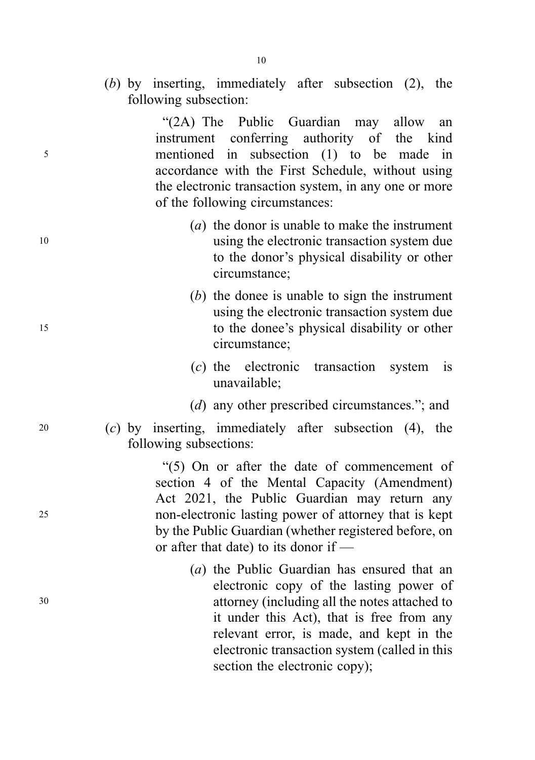(b) by inserting, immediately after subsection (2), the following subsection:

"(2A) The Public Guardian may allow an instrument conferring authority of the kind <sup>5</sup> mentioned in subsection (1) to be made in accordance with the First Schedule, without using the electronic transaction system, in any one or more of the following circumstances:

- (a) the donor is unable to make the instrument <sup>10</sup> using the electronic transaction system due to the donor's physical disability or other circumstance;
- (b) the donee is unable to sign the instrument using the electronic transaction system due <sup>15</sup> to the donee's physical disability or other circumstance;
	- (c) the electronic transaction system is unavailable;
	- (d) any other prescribed circumstances."; and
- <sup>20</sup> (c) by inserting, immediately after subsection (4), the following subsections:

"(5) On or after the date of commencement of section 4 of the Mental Capacity (Amendment) Act 2021, the Public Guardian may return any <sup>25</sup> non-electronic lasting power of attorney that is kept by the Public Guardian (whether registered before, on or after that date) to its donor if —

(a) the Public Guardian has ensured that an electronic copy of the lasting power of <sup>30</sup> attorney (including all the notes attached to it under this Act), that is free from any relevant error, is made, and kept in the electronic transaction system (called in this section the electronic copy);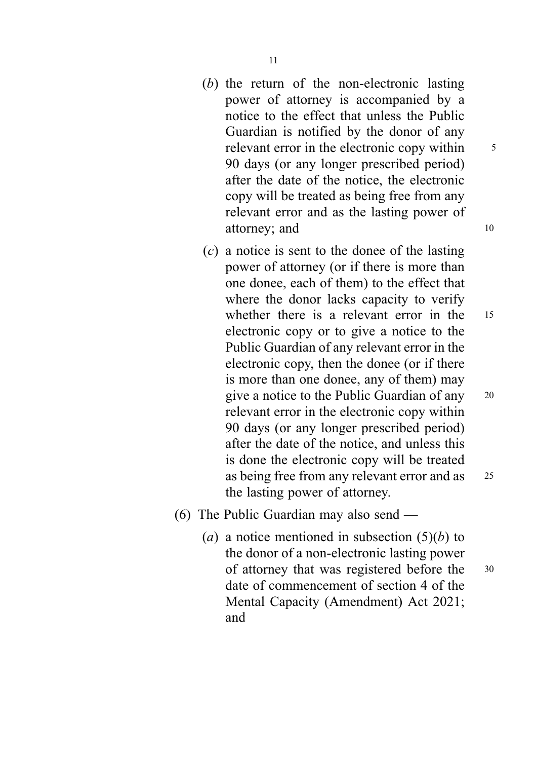- (b) the return of the non-electronic lasting power of attorney is accompanied by a notice to the effect that unless the Public Guardian is notified by the donor of any relevant error in the electronic copy within  $\frac{5}{5}$ 90 days (or any longer prescribed period) after the date of the notice, the electronic copy will be treated as being free from any relevant error and as the lasting power of attorney; and 10
- (c) a notice is sent to the donee of the lasting power of attorney (or if there is more than one donee, each of them) to the effect that where the donor lacks capacity to verify whether there is a relevant error in the 15 electronic copy or to give a notice to the Public Guardian of any relevant error in the electronic copy, then the donee (or if there is more than one donee, any of them) may give a notice to the Public Guardian of any <sup>20</sup> relevant error in the electronic copy within 90 days (or any longer prescribed period) after the date of the notice, and unless this is done the electronic copy will be treated as being free from any relevant error and as <sup>25</sup> the lasting power of attorney.
- (6) The Public Guardian may also send
	- (a) a notice mentioned in subsection  $(5)(b)$  to the donor of a non-electronic lasting power of attorney that was registered before the <sup>30</sup> date of commencement of section 4 of the Mental Capacity (Amendment) Act 2021; and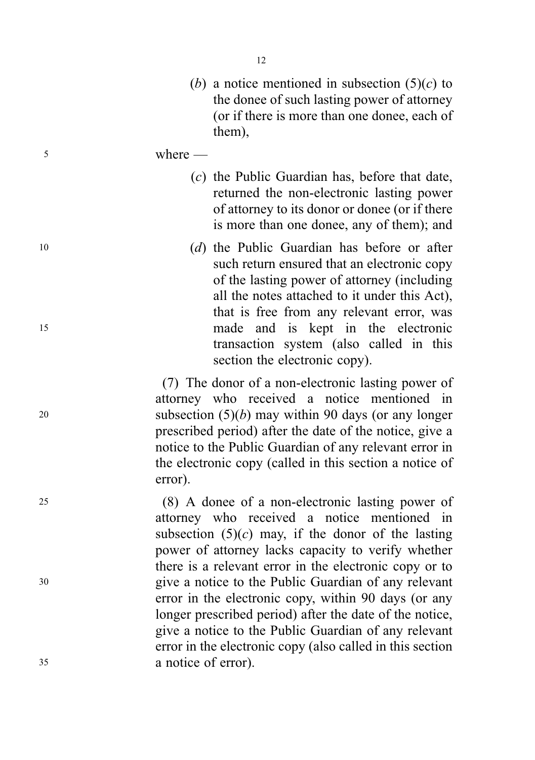- (b) a notice mentioned in subsection  $(5)(c)$  to the donee of such lasting power of attorney (or if there is more than one donee, each of them),
- <sup>5</sup> where
	- (c) the Public Guardian has, before that date, returned the non-electronic lasting power of attorney to its donor or donee (or if there is more than one donee, any of them); and
- <sup>10</sup> (d) the Public Guardian has before or after such return ensured that an electronic copy of the lasting power of attorney (including all the notes attached to it under this Act), that is free from any relevant error, was <sup>15</sup> made and is kept in the electronic transaction system (also called in this section the electronic copy).

(7) The donor of a non-electronic lasting power of attorney who received a notice mentioned in 20 subsection  $(5)(b)$  may within 90 days (or any longer prescribed period) after the date of the notice, give a notice to the Public Guardian of any relevant error in the electronic copy (called in this section a notice of error).

<sup>25</sup> (8) A donee of a non-electronic lasting power of attorney who received a notice mentioned in subsection  $(5)(c)$  may, if the donor of the lasting power of attorney lacks capacity to verify whether there is a relevant error in the electronic copy or to <sup>30</sup> give a notice to the Public Guardian of any relevant error in the electronic copy, within 90 days (or any longer prescribed period) after the date of the notice, give a notice to the Public Guardian of any relevant error in the electronic copy (also called in this section <sup>35</sup> a notice of error).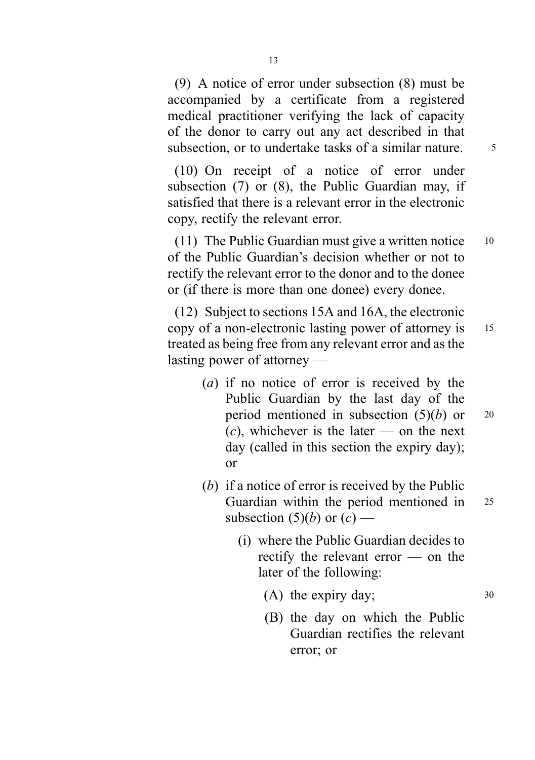(9) A notice of error under subsection (8) must be accompanied by a certificate from a registered medical practitioner verifying the lack of capacity of the donor to carry out any act described in that subsection, or to undertake tasks of a similar nature.  $\frac{5}{5}$ 

(10) On receipt of a notice of error under subsection (7) or (8), the Public Guardian may, if satisfied that there is a relevant error in the electronic copy, rectify the relevant error.

(11) The Public Guardian must give a written notice <sup>10</sup> of the Public Guardian's decision whether or not to rectify the relevant error to the donor and to the donee or (if there is more than one donee) every donee.

(12) Subject to sections 15A and 16A, the electronic copy of a non-electronic lasting power of attorney is <sup>15</sup> treated as being free from any relevant error and as the lasting power of attorney —

- (a) if no notice of error is received by the Public Guardian by the last day of the period mentioned in subsection  $(5)(b)$  or 20  $(c)$ , whichever is the later — on the next day (called in this section the expiry day); or
- (b) if a notice of error is received by the Public Guardian within the period mentioned in 25 subsection  $(5)(b)$  or  $(c)$  —
	- (i) where the Public Guardian decides to rectify the relevant error — on the later of the following:

(A) the expiry day;  $30$ 

- 
- (B) the day on which the Public Guardian rectifies the relevant error; or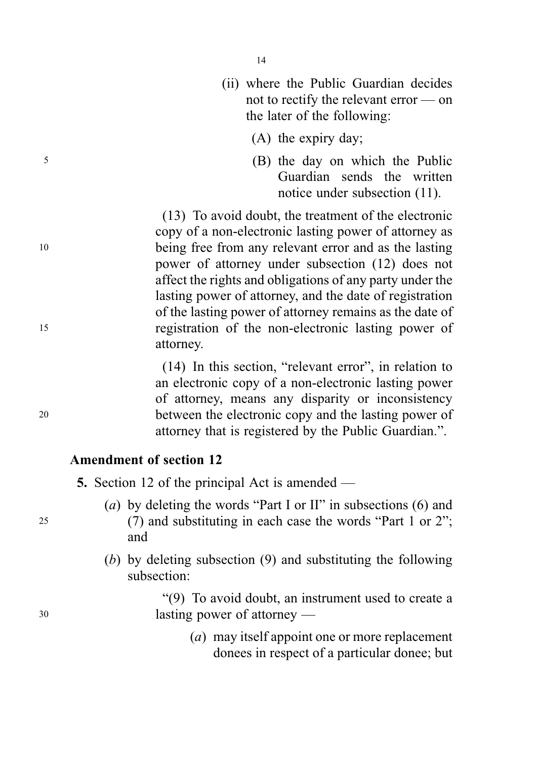- (ii) where the Public Guardian decides not to rectify the relevant error — on the later of the following:
	- (A) the expiry day;
- <sup>5</sup> (B) the day on which the Public Guardian sends the written notice under subsection (11).

(13) To avoid doubt, the treatment of the electronic copy of a non-electronic lasting power of attorney as <sup>10</sup> being free from any relevant error and as the lasting power of attorney under subsection (12) does not affect the rights and obligations of any party under the lasting power of attorney, and the date of registration of the lasting power of attorney remains as the date of <sup>15</sup> registration of the non-electronic lasting power of attorney.

(14) In this section, "relevant error", in relation to an electronic copy of a non-electronic lasting power of attorney, means any disparity or inconsistency <sup>20</sup> between the electronic copy and the lasting power of attorney that is registered by the Public Guardian.".

## Amendment of section 12

5. Section 12 of the principal Act is amended —

- (a) by deleting the words "Part I or II" in subsections (6) and <sup>25</sup> (7) and substituting in each case the words "Part 1 or 2"; and
	- (b) by deleting subsection (9) and substituting the following subsection:

"(9) To avoid doubt, an instrument used to create a <sup>30</sup> lasting power of attorney —

> (a) may itself appoint one or more replacement donees in respect of a particular donee; but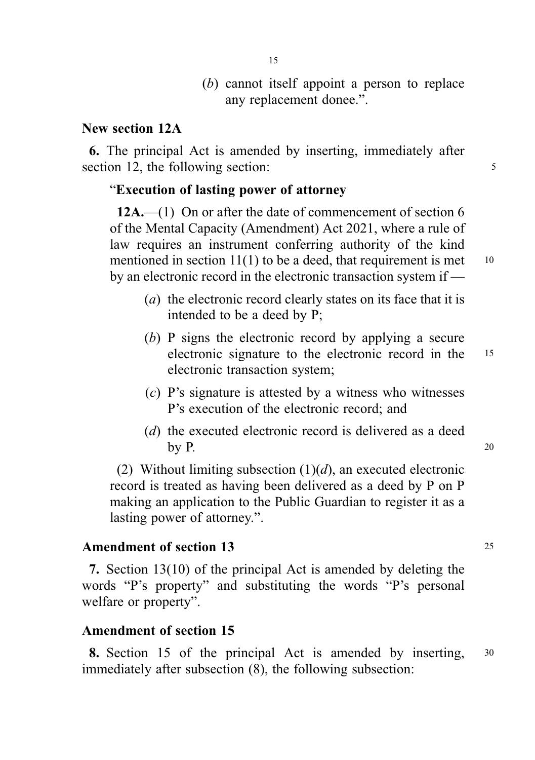(b) cannot itself appoint a person to replace any replacement donee.".

## New section 12A

6. The principal Act is amended by inserting, immediately after section 12, the following section: 5

## "Execution of lasting power of attorney

12A.—(1) On or after the date of commencement of section 6 of the Mental Capacity (Amendment) Act 2021, where a rule of law requires an instrument conferring authority of the kind mentioned in section  $11(1)$  to be a deed, that requirement is met  $10$ by an electronic record in the electronic transaction system if —

- (*a*) the electronic record clearly states on its face that it is intended to be a deed by P;
- (b) P signs the electronic record by applying a secure electronic signature to the electronic record in the <sup>15</sup> electronic transaction system;
- (c) P's signature is attested by a witness who witnesses P's execution of the electronic record; and
- (d) the executed electronic record is delivered as a deed by P.  $20$

(2) Without limiting subsection  $(1)(d)$ , an executed electronic record is treated as having been delivered as a deed by P on P making an application to the Public Guardian to register it as a lasting power of attorney.".

## Amendment of section 13 25

7. Section 13(10) of the principal Act is amended by deleting the words "P's property" and substituting the words "P's personal welfare or property".

## Amendment of section 15

8. Section 15 of the principal Act is amended by inserting, 30 immediately after subsection (8), the following subsection: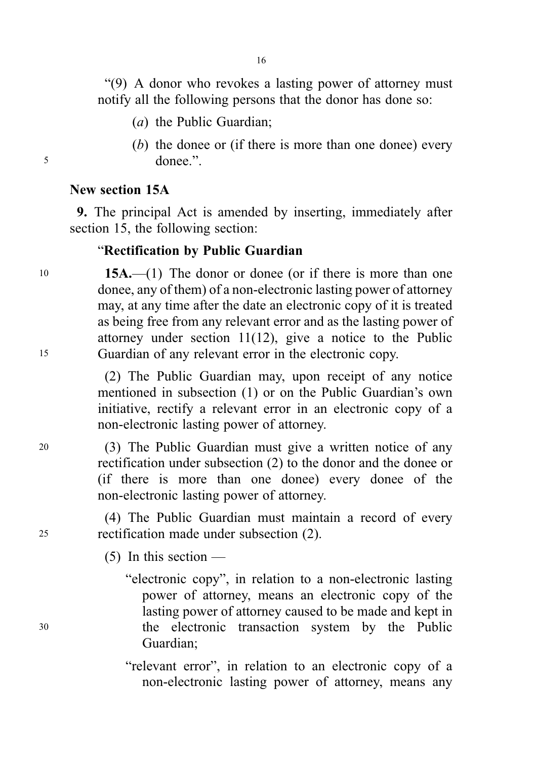16

"(9) A donor who revokes a lasting power of attorney must notify all the following persons that the donor has done so:

- (a) the Public Guardian;
- (b) the donee or (if there is more than one donee) every <sup>5</sup> donee.".

# New section 15A

9. The principal Act is amended by inserting, immediately after section 15, the following section:

# "Rectification by Public Guardian

10 **15A.**—(1) The donor or donee (or if there is more than one donee, any of them) of a non-electronic lasting power of attorney may, at any time after the date an electronic copy of it is treated as being free from any relevant error and as the lasting power of attorney under section 11(12), give a notice to the Public <sup>15</sup> Guardian of any relevant error in the electronic copy.

> (2) The Public Guardian may, upon receipt of any notice mentioned in subsection (1) or on the Public Guardian's own initiative, rectify a relevant error in an electronic copy of a non-electronic lasting power of attorney.

<sup>20</sup> (3) The Public Guardian must give a written notice of any rectification under subsection (2) to the donor and the donee or (if there is more than one donee) every donee of the non-electronic lasting power of attorney.

(4) The Public Guardian must maintain a record of every <sup>25</sup> rectification made under subsection (2).

 $(5)$  In this section —

"electronic copy", in relation to a non-electronic lasting power of attorney, means an electronic copy of the lasting power of attorney caused to be made and kept in <sup>30</sup> the electronic transaction system by the Public Guardian;

> "relevant error", in relation to an electronic copy of a non-electronic lasting power of attorney, means any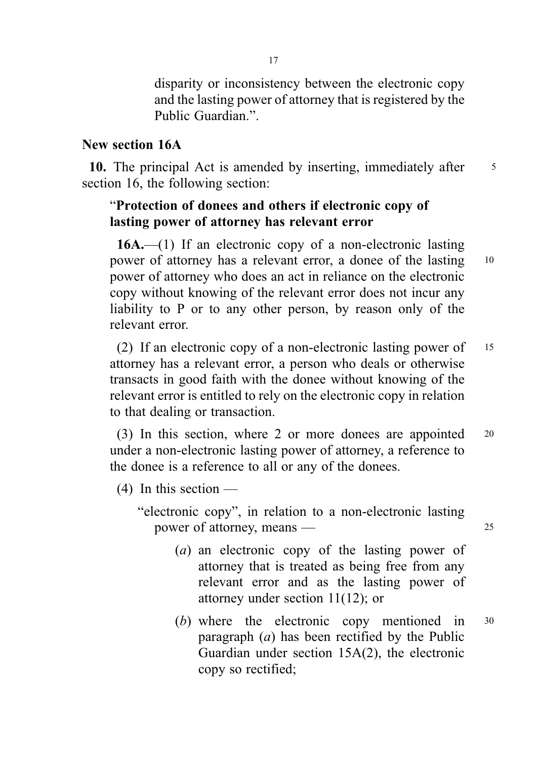disparity or inconsistency between the electronic copy and the lasting power of attorney that is registered by the Public Guardian.".

## New section 16A

10. The principal Act is amended by inserting, immediately after 5 section 16, the following section:

# "Protection of donees and others if electronic copy of lasting power of attorney has relevant error

16A.—(1) If an electronic copy of a non-electronic lasting power of attorney has a relevant error, a donee of the lasting <sup>10</sup> power of attorney who does an act in reliance on the electronic copy without knowing of the relevant error does not incur any liability to P or to any other person, by reason only of the relevant error.

(2) If an electronic copy of a non-electronic lasting power of <sup>15</sup> attorney has a relevant error, a person who deals or otherwise transacts in good faith with the donee without knowing of the relevant error is entitled to rely on the electronic copy in relation to that dealing or transaction.

(3) In this section, where 2 or more donees are appointed <sup>20</sup> under a non-electronic lasting power of attorney, a reference to the donee is a reference to all or any of the donees.

 $(4)$  In this section —

"electronic copy", in relation to a non-electronic lasting power of attorney, means — 25

- (a) an electronic copy of the lasting power of attorney that is treated as being free from any relevant error and as the lasting power of attorney under section 11(12); or
- (b) where the electronic copy mentioned in <sup>30</sup> paragraph  $(a)$  has been rectified by the Public Guardian under section 15A(2), the electronic copy so rectified;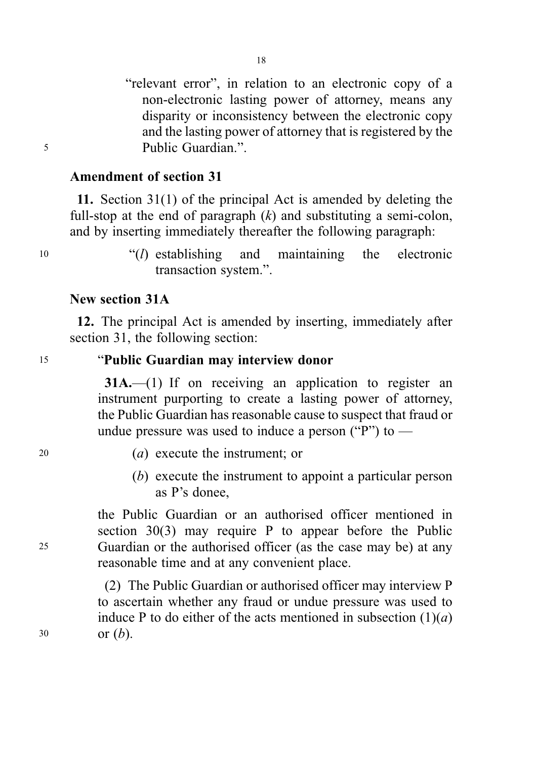"relevant error", in relation to an electronic copy of a non-electronic lasting power of attorney, means any disparity or inconsistency between the electronic copy and the lasting power of attorney that is registered by the <sup>5</sup> Public Guardian.".

## Amendment of section 31

11. Section 31(1) of the principal Act is amended by deleting the full-stop at the end of paragraph  $(k)$  and substituting a semi-colon, and by inserting immediately thereafter the following paragraph:

<sup>10</sup> "(l) establishing and maintaining the electronic transaction system.".

## New section 31A

12. The principal Act is amended by inserting, immediately after section 31, the following section:

# <sup>15</sup> "Public Guardian may interview donor

31A.—(1) If on receiving an application to register an instrument purporting to create a lasting power of attorney, the Public Guardian has reasonable cause to suspect that fraud or undue pressure was used to induce a person ("P") to  $-$ 

- <sup>20</sup> (a) execute the instrument; or
	- (b) execute the instrument to appoint a particular person as P's donee,

the Public Guardian or an authorised officer mentioned in section 30(3) may require P to appear before the Public <sup>25</sup> Guardian or the authorised officer (as the case may be) at any reasonable time and at any convenient place.

(2) The Public Guardian or authorised officer may interview P to ascertain whether any fraud or undue pressure was used to induce P to do either of the acts mentioned in subsection  $(1)(a)$ 30 or  $(b)$ .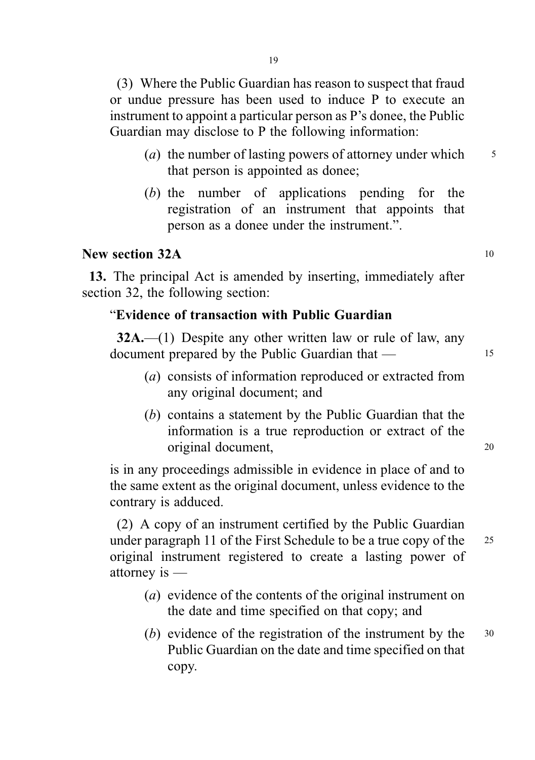(3) Where the Public Guardian has reason to suspect that fraud or undue pressure has been used to induce P to execute an instrument to appoint a particular person as P's donee, the Public Guardian may disclose to P the following information:

- (*a*) the number of lasting powers of attorney under which  $\frac{5}{5}$ that person is appointed as donee;
- (b) the number of applications pending for the registration of an instrument that appoints that person as a donee under the instrument.".

# New section  $32A$  10

13. The principal Act is amended by inserting, immediately after section 32, the following section:

## "Evidence of transaction with Public Guardian

 $32A$ .—(1) Despite any other written law or rule of law, any document prepared by the Public Guardian that — 15

- (a) consists of information reproduced or extracted from any original document; and
- (b) contains a statement by the Public Guardian that the information is a true reproduction or extract of the original document, <sup>20</sup>

is in any proceedings admissible in evidence in place of and to the same extent as the original document, unless evidence to the contrary is adduced.

(2) A copy of an instrument certified by the Public Guardian under paragraph 11 of the First Schedule to be a true copy of the 25 original instrument registered to create a lasting power of attorney is —

- (a) evidence of the contents of the original instrument on the date and time specified on that copy; and
- (b) evidence of the registration of the instrument by the <sup>30</sup> Public Guardian on the date and time specified on that copy.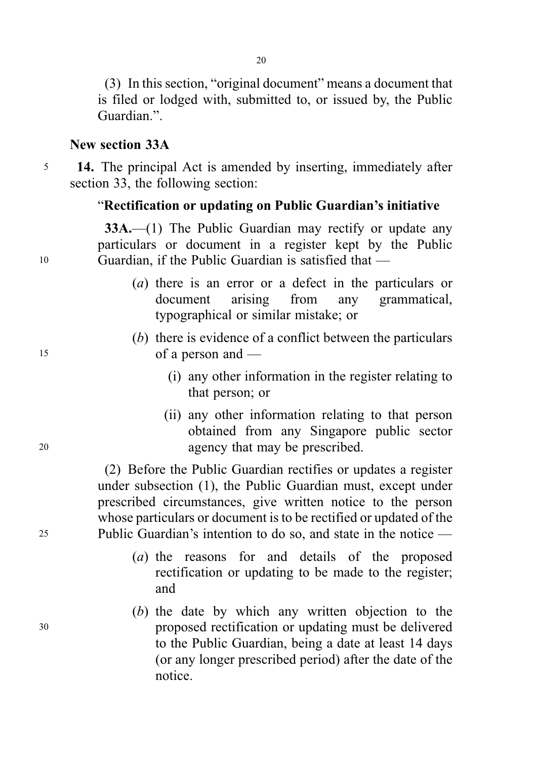(3) In this section, "original document" means a document that is filed or lodged with, submitted to, or issued by, the Public Guardian.".

## New section 33A

<sup>5</sup> 14. The principal Act is amended by inserting, immediately after section 33, the following section:

## "Rectification or updating on Public Guardian's initiative

33A.—(1) The Public Guardian may rectify or update any particulars or document in a register kept by the Public <sup>10</sup> Guardian, if the Public Guardian is satisfied that —

- (a) there is an error or a defect in the particulars or document arising from any grammatical, typographical or similar mistake; or
- (b) there is evidence of a conflict between the particulars <sup>15</sup> of a person and —
	- (i) any other information in the register relating to that person; or
- (ii) any other information relating to that person obtained from any Singapore public sector <sup>20</sup> agency that may be prescribed.

(2) Before the Public Guardian rectifies or updates a register under subsection (1), the Public Guardian must, except under prescribed circumstances, give written notice to the person whose particulars or document is to be rectified or updated of the <sup>25</sup> Public Guardian's intention to do so, and state in the notice —

- (a) the reasons for and details of the proposed rectification or updating to be made to the register; and
- (b) the date by which any written objection to the <sup>30</sup> proposed rectification or updating must be delivered to the Public Guardian, being a date at least 14 days (or any longer prescribed period) after the date of the notice.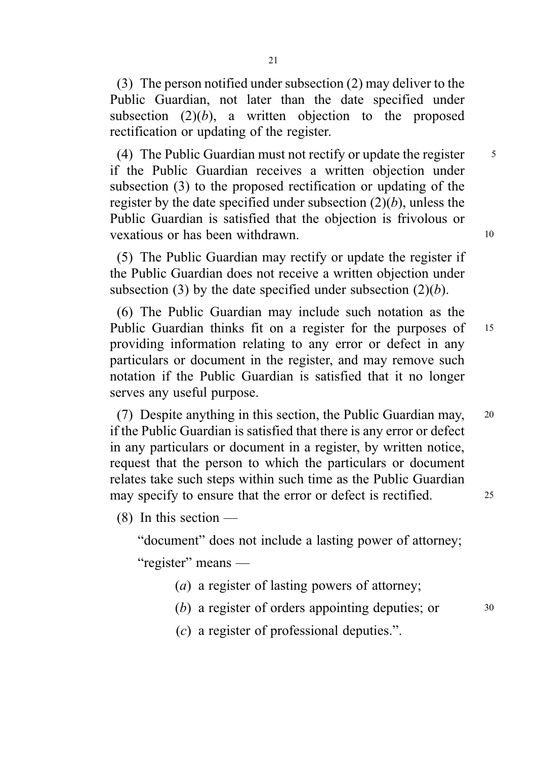(3) The person notified under subsection (2) may deliver to the Public Guardian, not later than the date specified under subsection  $(2)(b)$ , a written objection to the proposed rectification or updating of the register.

(4) The Public Guardian must not rectify or update the register  $\frac{5}{5}$ if the Public Guardian receives a written objection under subsection (3) to the proposed rectification or updating of the register by the date specified under subsection  $(2)(b)$ , unless the Public Guardian is satisfied that the objection is frivolous or vexatious or has been withdrawn. 10

(5) The Public Guardian may rectify or update the register if the Public Guardian does not receive a written objection under subsection (3) by the date specified under subsection  $(2)(b)$ .

(6) The Public Guardian may include such notation as the Public Guardian thinks fit on a register for the purposes of 15 providing information relating to any error or defect in any particulars or document in the register, and may remove such notation if the Public Guardian is satisfied that it no longer serves any useful purpose.

(7) Despite anything in this section, the Public Guardian may, <sup>20</sup> if the Public Guardian is satisfied that there is any error or defect in any particulars or document in a register, by written notice, request that the person to which the particulars or document relates take such steps within such time as the Public Guardian may specify to ensure that the error or defect is rectified. 25

 $(8)$  In this section —

"document" does not include a lasting power of attorney;

"register" means —

- (a) a register of lasting powers of attorney;
- (b) a register of orders appointing deputies; or  $30$
- (c) a register of professional deputies.".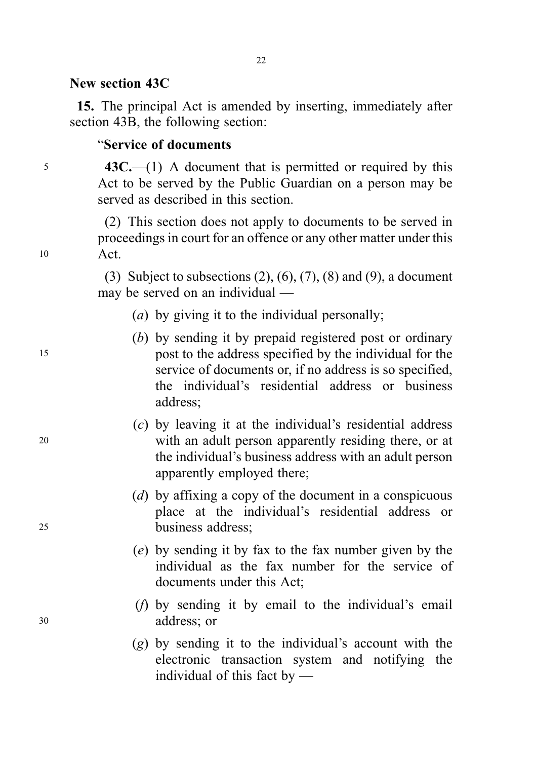## New section 43C

15. The principal Act is amended by inserting, immediately after section 43B, the following section:

## "Service of documents

<sup>5</sup> 43C.—(1) A document that is permitted or required by this Act to be served by the Public Guardian on a person may be served as described in this section.

(2) This section does not apply to documents to be served in proceedings in court for an offence or any other matter under this <sup>10</sup> Act.

> (3) Subject to subsections  $(2)$ ,  $(6)$ ,  $(7)$ ,  $(8)$  and  $(9)$ , a document may be served on an individual —

- (a) by giving it to the individual personally;
- (b) by sending it by prepaid registered post or ordinary <sup>15</sup> post to the address specified by the individual for the service of documents or, if no address is so specified, the individual's residential address or business address;
- (c) by leaving it at the individual's residential address <sup>20</sup> with an adult person apparently residing there, or at the individual's business address with an adult person apparently employed there;
- (d) by affixing a copy of the document in a conspicuous place at the individual's residential address or <sup>25</sup> business address;
	- (e) by sending it by fax to the fax number given by the individual as the fax number for the service of documents under this Act;
- (f) by sending it by email to the individual's email <sup>30</sup> address; or
	- (g) by sending it to the individual's account with the electronic transaction system and notifying the individual of this fact by —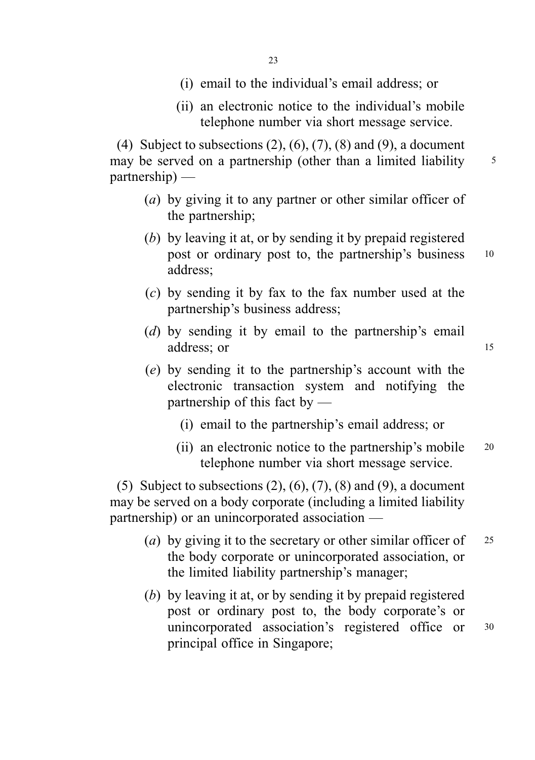- (i) email to the individual's email address; or
- (ii) an electronic notice to the individual's mobile telephone number via short message service.

(4) Subject to subsections  $(2)$ ,  $(6)$ ,  $(7)$ ,  $(8)$  and  $(9)$ , a document may be served on a partnership (other than a limited liability 5 partnership) —

- (a) by giving it to any partner or other similar officer of the partnership;
- (b) by leaving it at, or by sending it by prepaid registered post or ordinary post to, the partnership's business <sup>10</sup> address;
- (c) by sending it by fax to the fax number used at the partnership's business address;
- (d) by sending it by email to the partnership's email address; or 15
- (e) by sending it to the partnership's account with the electronic transaction system and notifying the partnership of this fact by —
	- (i) email to the partnership's email address; or
	- (ii) an electronic notice to the partnership's mobile <sup>20</sup> telephone number via short message service.

(5) Subject to subsections  $(2)$ ,  $(6)$ ,  $(7)$ ,  $(8)$  and  $(9)$ , a document may be served on a body corporate (including a limited liability partnership) or an unincorporated association —

- (a) by giving it to the secretary or other similar officer of  $25$ the body corporate or unincorporated association, or the limited liability partnership's manager;
- (b) by leaving it at, or by sending it by prepaid registered post or ordinary post to, the body corporate's or unincorporated association's registered office or <sup>30</sup> principal office in Singapore;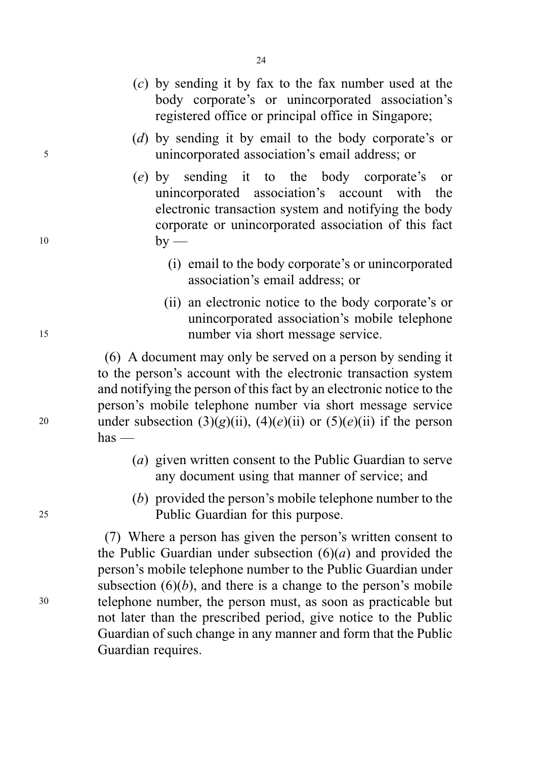- (c) by sending it by fax to the fax number used at the body corporate's or unincorporated association's registered office or principal office in Singapore;
- (d) by sending it by email to the body corporate's or <sup>5</sup> unincorporated association's email address; or
- (e) by sending it to the body corporate's or unincorporated association's account with the electronic transaction system and notifying the body corporate or unincorporated association of this fact  $10$  by —
	- (i) email to the body corporate's or unincorporated association's email address; or
- (ii) an electronic notice to the body corporate's or unincorporated association's mobile telephone <sup>15</sup> number via short message service.

(6) A document may only be served on a person by sending it to the person's account with the electronic transaction system and notifying the person of this fact by an electronic notice to the person's mobile telephone number via short message service 20 under subsection  $(3)(g)(ii)$ ,  $(4)(e)(ii)$  or  $(5)(e)(ii)$  if the person  $has$  —

- (a) given written consent to the Public Guardian to serve any document using that manner of service; and
- (b) provided the person's mobile telephone number to the <sup>25</sup> Public Guardian for this purpose.

(7) Where a person has given the person's written consent to the Public Guardian under subsection  $(6)(a)$  and provided the person's mobile telephone number to the Public Guardian under subsection  $(6)(b)$ , and there is a change to the person's mobile <sup>30</sup> telephone number, the person must, as soon as practicable but not later than the prescribed period, give notice to the Public Guardian of such change in any manner and form that the Public Guardian requires.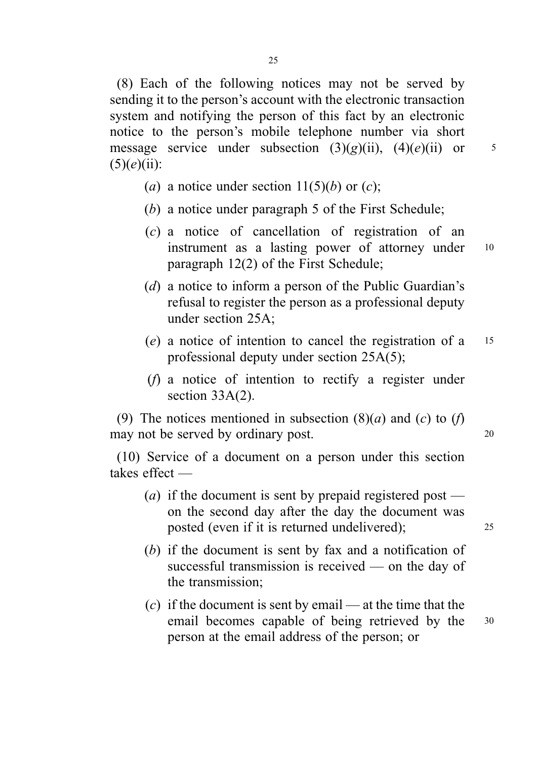(8) Each of the following notices may not be served by sending it to the person's account with the electronic transaction system and notifying the person of this fact by an electronic notice to the person's mobile telephone number via short message service under subsection  $(3)(g)(ii)$ ,  $(4)(e)(ii)$  or 5  $(5)(e)(ii)$ :

- (a) a notice under section  $11(5)(b)$  or (c);
- (b) a notice under paragraph 5 of the First Schedule;
- (c) a notice of cancellation of registration of an instrument as a lasting power of attorney under 10 paragraph 12(2) of the First Schedule;
- (d) a notice to inform a person of the Public Guardian's refusal to register the person as a professional deputy under section 25A;
- (e) a notice of intention to cancel the registration of a <sup>15</sup> professional deputy under section 25A(5);
- (f) a notice of intention to rectify a register under section 33A(2).

(9) The notices mentioned in subsection  $(8)(a)$  and  $(c)$  to  $(f)$ may not be served by ordinary post.

(10) Service of a document on a person under this section takes effect —

- (*a*) if the document is sent by prepaid registered post on the second day after the day the document was posted (even if it is returned undelivered); <sup>25</sup>
- (b) if the document is sent by fax and a notification of successful transmission is received — on the day of the transmission;
- (c) if the document is sent by email at the time that the email becomes capable of being retrieved by the <sup>30</sup> person at the email address of the person; or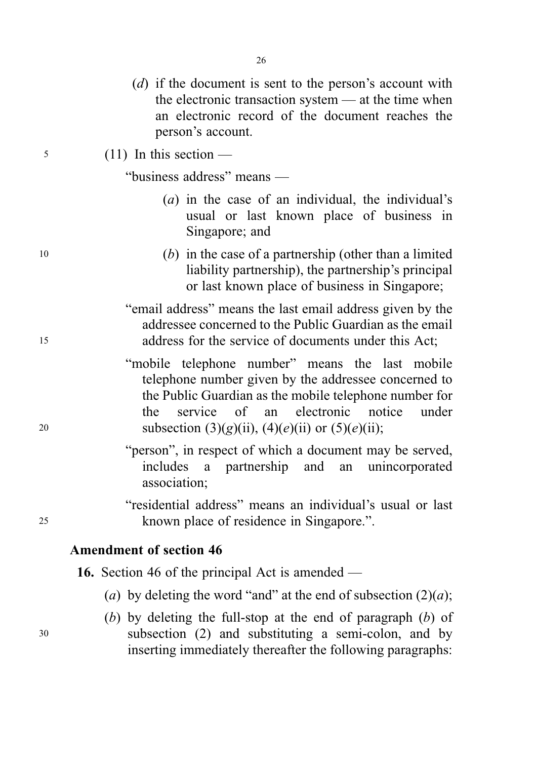|    | (d) if the document is sent to the person's account with<br>the electronic transaction system — at the time when<br>an electronic record of the document reaches the<br>person's account.                                                                                |
|----|--------------------------------------------------------------------------------------------------------------------------------------------------------------------------------------------------------------------------------------------------------------------------|
| 5  | $(11)$ In this section —                                                                                                                                                                                                                                                 |
|    | "business address" means —                                                                                                                                                                                                                                               |
|    | $(a)$ in the case of an individual, the individual's<br>usual or last known place of business in<br>Singapore; and                                                                                                                                                       |
| 10 | $(b)$ in the case of a partnership (other than a limited<br>liability partnership), the partnership's principal<br>or last known place of business in Singapore;                                                                                                         |
| 15 | "email address" means the last email address given by the<br>addressee concerned to the Public Guardian as the email<br>address for the service of documents under this Act;                                                                                             |
| 20 | "mobile telephone number" means the last mobile<br>telephone number given by the addressee concerned to<br>the Public Guardian as the mobile telephone number for<br>service of an electronic notice<br>under<br>the<br>subsection (3)(g)(ii), (4)(e)(ii) or (5)(e)(ii); |
|    | "person", in respect of which a document may be served,<br>a partnership and<br>an unincorporated<br>includes<br>association;                                                                                                                                            |
| 25 | "residential address" means an individual's usual or last<br>known place of residence in Singapore.".                                                                                                                                                                    |
|    | <b>Amendment of section 46</b>                                                                                                                                                                                                                                           |
|    | <b>16.</b> Section 46 of the principal Act is amended —                                                                                                                                                                                                                  |
|    | (a) by deleting the word "and" at the end of subsection $(2)(a)$ ;                                                                                                                                                                                                       |

(b) by deleting the full-stop at the end of paragraph  $(b)$  of <sup>30</sup> subsection (2) and substituting a semi-colon, and by inserting immediately thereafter the following paragraphs: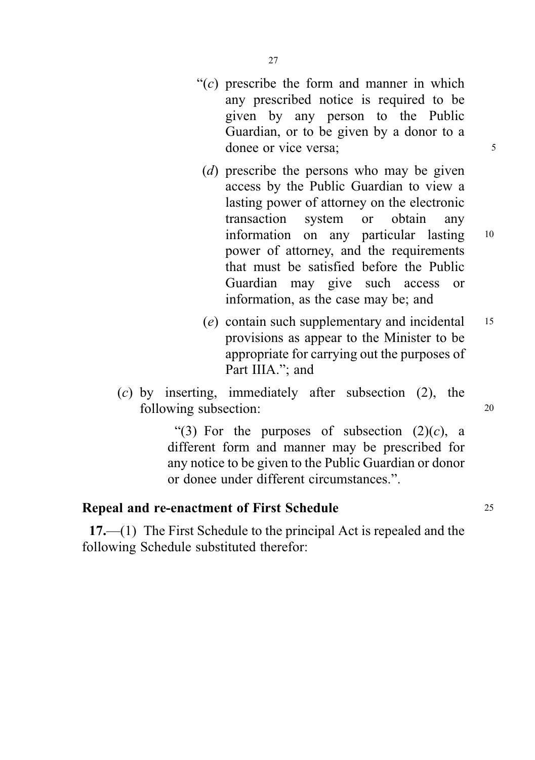- " $(c)$  prescribe the form and manner in which any prescribed notice is required to be given by any person to the Public Guardian, or to be given by a donor to a donee or vice versa; 5
	- (*d*) prescribe the persons who may be given access by the Public Guardian to view a lasting power of attorney on the electronic transaction system or obtain any information on any particular lasting <sup>10</sup> power of attorney, and the requirements that must be satisfied before the Public Guardian may give such access or information, as the case may be; and
	- (e) contain such supplementary and incidental <sup>15</sup> provisions as appear to the Minister to be appropriate for carrying out the purposes of Part IIIA."; and
- (c) by inserting, immediately after subsection (2), the following subsection: 20

"(3) For the purposes of subsection  $(2)(c)$ , a different form and manner may be prescribed for any notice to be given to the Public Guardian or donor or donee under different circumstances.".

# Repeal and re-enactment of First Schedule 25

17.—(1) The First Schedule to the principal Act is repealed and the following Schedule substituted therefor: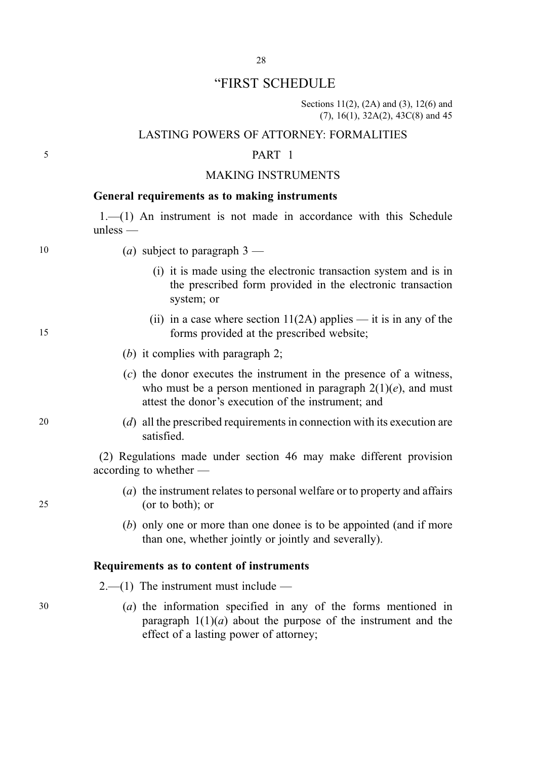## "FIRST SCHEDULE

Sections 11(2), (2A) and (3), 12(6) and (7), 16(1), 32A(2), 43C(8) and 45

### LASTING POWERS OF ATTORNEY: FORMALITIES

### 5 PART 1

### MAKING INSTRUMENTS

### General requirements as to making instruments

1.—(1) An instrument is not made in accordance with this Schedule unless —

10 (a) subject to paragraph  $3$  —

- (i) it is made using the electronic transaction system and is in the prescribed form provided in the electronic transaction system; or
- (ii) in a case where section  $11(2A)$  applies it is in any of the 15 forms provided at the prescribed website;
	- (b) it complies with paragraph 2:
	- (c) the donor executes the instrument in the presence of a witness, who must be a person mentioned in paragraph  $2(1)(e)$ , and must attest the donor's execution of the instrument; and
- 20 (d) all the prescribed requirements in connection with its execution are satisfied.

(2) Regulations made under section 46 may make different provision according to whether —

- (a) the instrument relates to personal welfare or to property and affairs 25 (or to both); or
	- (b) only one or more than one donee is to be appointed (and if more than one, whether jointly or jointly and severally).

### Requirements as to content of instruments

 $2-1$ ) The instrument must include —

30 (a) the information specified in any of the forms mentioned in paragraph  $1(1)(a)$  about the purpose of the instrument and the effect of a lasting power of attorney;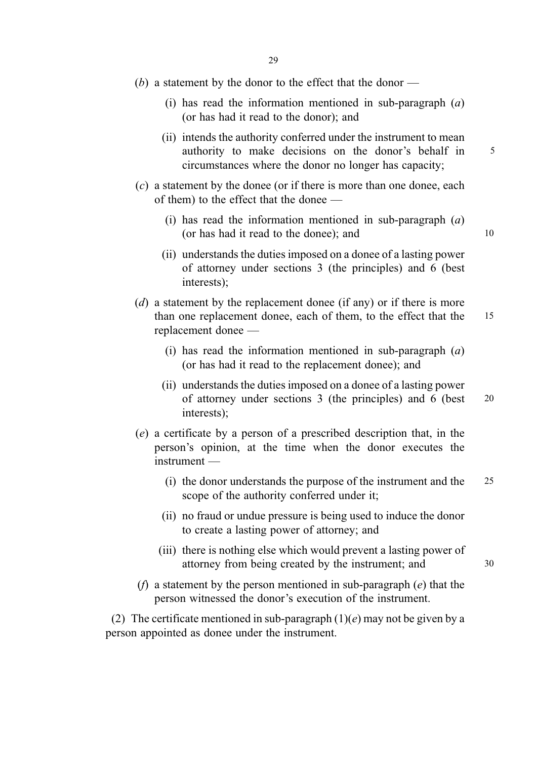- $(b)$  a statement by the donor to the effect that the donor
	- (i) has read the information mentioned in sub-paragraph  $(a)$ (or has had it read to the donor); and
	- (ii) intends the authority conferred under the instrument to mean authority to make decisions on the donor's behalf in 5 circumstances where the donor no longer has capacity;
- (c) a statement by the donee (or if there is more than one donee, each of them) to the effect that the donee —
	- (i) has read the information mentioned in sub-paragraph  $(a)$ (or has had it read to the donee); and 10
	- (ii) understands the duties imposed on a donee of a lasting power of attorney under sections 3 (the principles) and 6 (best interests);
- $(d)$  a statement by the replacement donee (if any) or if there is more than one replacement donee, each of them, to the effect that the 15 replacement donee —
	- (i) has read the information mentioned in sub-paragraph  $(a)$ (or has had it read to the replacement donee); and
	- (ii) understands the duties imposed on a donee of a lasting power of attorney under sections 3 (the principles) and 6 (best 20 interests);
- (e) a certificate by a person of a prescribed description that, in the person's opinion, at the time when the donor executes the instrument —
	- (i) the donor understands the purpose of the instrument and the 25 scope of the authority conferred under it;
	- (ii) no fraud or undue pressure is being used to induce the donor to create a lasting power of attorney; and
	- (iii) there is nothing else which would prevent a lasting power of attorney from being created by the instrument; and 30
- (f) a statement by the person mentioned in sub-paragraph  $(e)$  that the person witnessed the donor's execution of the instrument.

(2) The certificate mentioned in sub-paragraph  $(1)(e)$  may not be given by a person appointed as donee under the instrument.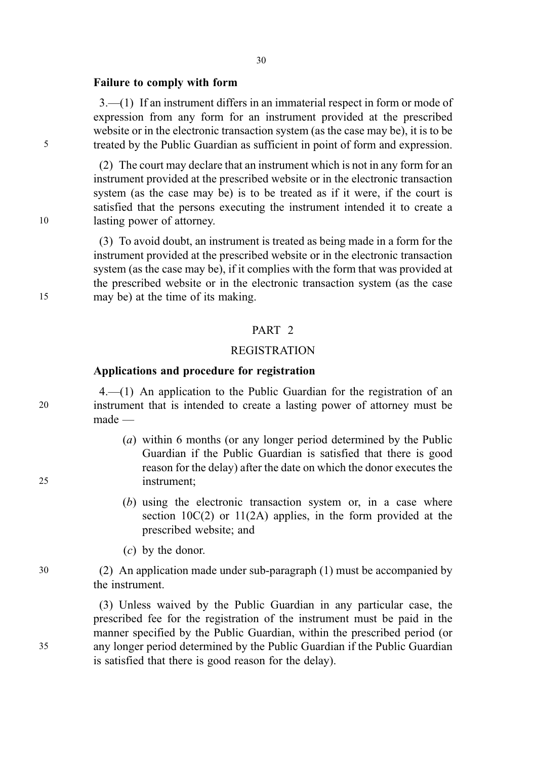#### Failure to comply with form

3.—(1) If an instrument differs in an immaterial respect in form or mode of expression from any form for an instrument provided at the prescribed website or in the electronic transaction system (as the case may be), it is to be 5 treated by the Public Guardian as sufficient in point of form and expression.

(2) The court may declare that an instrument which is not in any form for an instrument provided at the prescribed website or in the electronic transaction system (as the case may be) is to be treated as if it were, if the court is satisfied that the persons executing the instrument intended it to create a 10 lasting power of attorney.

(3) To avoid doubt, an instrument is treated as being made in a form for the instrument provided at the prescribed website or in the electronic transaction system (as the case may be), if it complies with the form that was provided at the prescribed website or in the electronic transaction system (as the case 15 may be) at the time of its making.

### PART<sub>2</sub>

## REGISTRATION

## Applications and procedure for registration

4.—(1) An application to the Public Guardian for the registration of an 20 instrument that is intended to create a lasting power of attorney must be made —

- (a) within 6 months (or any longer period determined by the Public Guardian if the Public Guardian is satisfied that there is good reason for the delay) after the date on which the donor executes the 25 instrument;
	- (b) using the electronic transaction system or, in a case where section 10C(2) or 11(2A) applies, in the form provided at the prescribed website; and
	- (c) by the donor.

30 (2) An application made under sub-paragraph (1) must be accompanied by the instrument.

(3) Unless waived by the Public Guardian in any particular case, the prescribed fee for the registration of the instrument must be paid in the manner specified by the Public Guardian, within the prescribed period (or 35 any longer period determined by the Public Guardian if the Public Guardian is satisfied that there is good reason for the delay).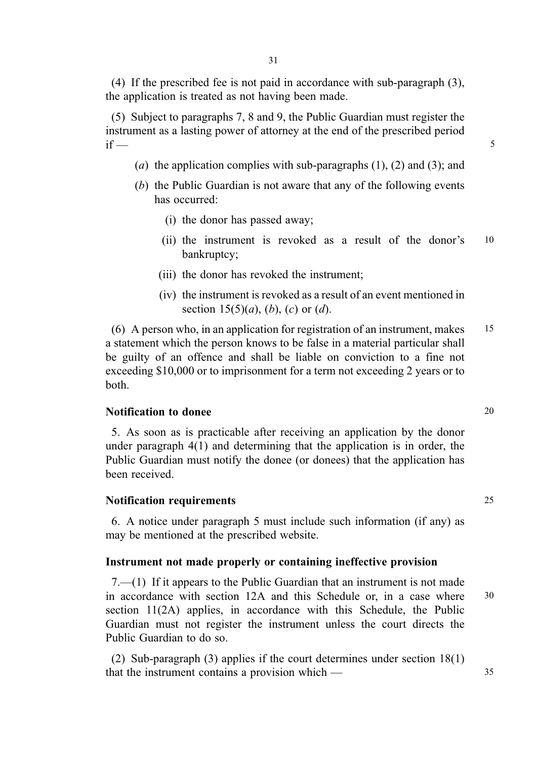(4) If the prescribed fee is not paid in accordance with sub-paragraph (3), the application is treated as not having been made.

(5) Subject to paragraphs 7, 8 and 9, the Public Guardian must register the instrument as a lasting power of attorney at the end of the prescribed period if  $\overline{\phantom{a}}$  5

- (a) the application complies with sub-paragraphs  $(1)$ ,  $(2)$  and  $(3)$ ; and
- (b) the Public Guardian is not aware that any of the following events has occurred:
	- (i) the donor has passed away;
	- (ii) the instrument is revoked as a result of the donor's 10 bankruptcy;
	- (iii) the donor has revoked the instrument;
	- (iv) the instrument is revoked as a result of an event mentioned in section  $15(5)(a)$ , (b), (c) or (d).

(6) A person who, in an application for registration of an instrument, makes 15 a statement which the person knows to be false in a material particular shall be guilty of an offence and shall be liable on conviction to a fine not exceeding \$10,000 or to imprisonment for a term not exceeding 2 years or to both.

### Notification to donee 20

5. As soon as is practicable after receiving an application by the donor under paragraph 4(1) and determining that the application is in order, the Public Guardian must notify the donee (or donees) that the application has been received.

### Notification requirements 25

6. A notice under paragraph 5 must include such information (if any) as may be mentioned at the prescribed website.

#### Instrument not made properly or containing ineffective provision

7.—(1) If it appears to the Public Guardian that an instrument is not made in accordance with section 12A and this Schedule or, in a case where 30 section 11(2A) applies, in accordance with this Schedule, the Public Guardian must not register the instrument unless the court directs the Public Guardian to do so.

(2) Sub-paragraph (3) applies if the court determines under section 18(1) that the instrument contains a provision which — 35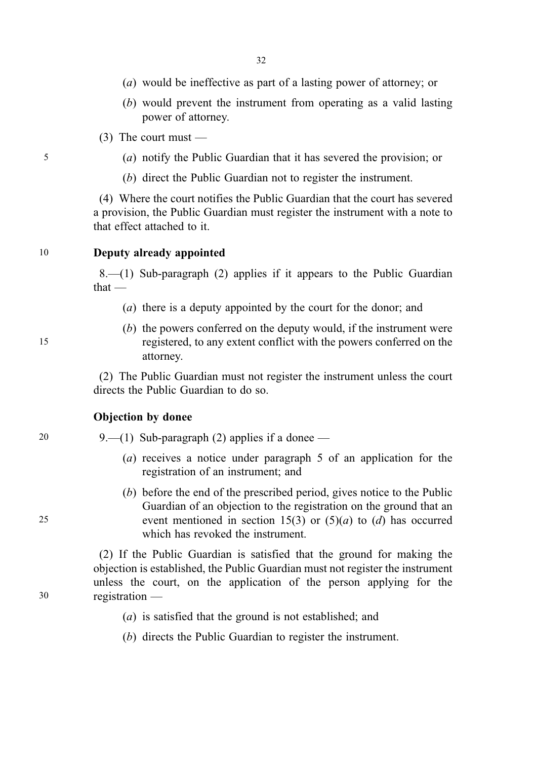- (a) would be ineffective as part of a lasting power of attorney; or
- (b) would prevent the instrument from operating as a valid lasting power of attorney.
- (3) The court must —
- 5 (a) notify the Public Guardian that it has severed the provision; or
	- (b) direct the Public Guardian not to register the instrument.

(4) Where the court notifies the Public Guardian that the court has severed a provision, the Public Guardian must register the instrument with a note to that effect attached to it.

### 10 Deputy already appointed

8.—(1) Sub-paragraph (2) applies if it appears to the Public Guardian that —

- (a) there is a deputy appointed by the court for the donor; and
- (b) the powers conferred on the deputy would, if the instrument were 15 registered, to any extent conflict with the powers conferred on the attorney.

(2) The Public Guardian must not register the instrument unless the court directs the Public Guardian to do so.

### Objection by donee

- 20 9.—(1) Sub-paragraph (2) applies if a donee
	- (a) receives a notice under paragraph 5 of an application for the registration of an instrument; and
- (b) before the end of the prescribed period, gives notice to the Public Guardian of an objection to the registration on the ground that an 25 event mentioned in section 15(3) or  $(5)(a)$  to  $(d)$  has occurred which has revoked the instrument.

(2) If the Public Guardian is satisfied that the ground for making the objection is established, the Public Guardian must not register the instrument unless the court, on the application of the person applying for the 30 registration —

- (a) is satisfied that the ground is not established; and
- (b) directs the Public Guardian to register the instrument.

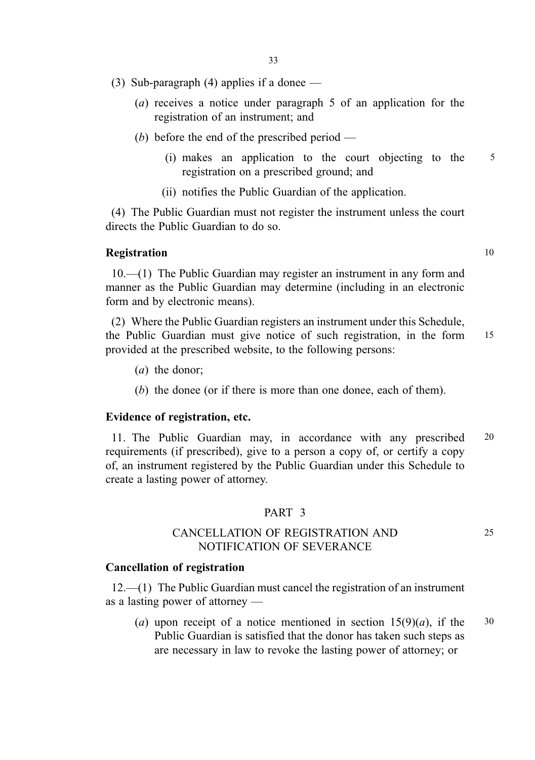- (3) Sub-paragraph (4) applies if a donee  $-$ 
	- (a) receives a notice under paragraph 5 of an application for the registration of an instrument; and
	- (b) before the end of the prescribed period
		- (i) makes an application to the court objecting to the 5 registration on a prescribed ground; and
		- (ii) notifies the Public Guardian of the application.

(4) The Public Guardian must not register the instrument unless the court directs the Public Guardian to do so.

### **Registration** 10

10.—(1) The Public Guardian may register an instrument in any form and manner as the Public Guardian may determine (including in an electronic form and by electronic means).

(2) Where the Public Guardian registers an instrument under this Schedule, the Public Guardian must give notice of such registration, in the form 15 provided at the prescribed website, to the following persons:

- (a) the donor;
- (b) the donee (or if there is more than one donee, each of them).

### Evidence of registration, etc.

11. The Public Guardian may, in accordance with any prescribed 20 requirements (if prescribed), give to a person a copy of, or certify a copy of, an instrument registered by the Public Guardian under this Schedule to create a lasting power of attorney.

### PART 3

## CANCELLATION OF REGISTRATION AND 25 NOTIFICATION OF SEVERANCE

#### Cancellation of registration

12.—(1) The Public Guardian must cancel the registration of an instrument as a lasting power of attorney —

(a) upon receipt of a notice mentioned in section  $15(9)(a)$ , if the 30 Public Guardian is satisfied that the donor has taken such steps as are necessary in law to revoke the lasting power of attorney; or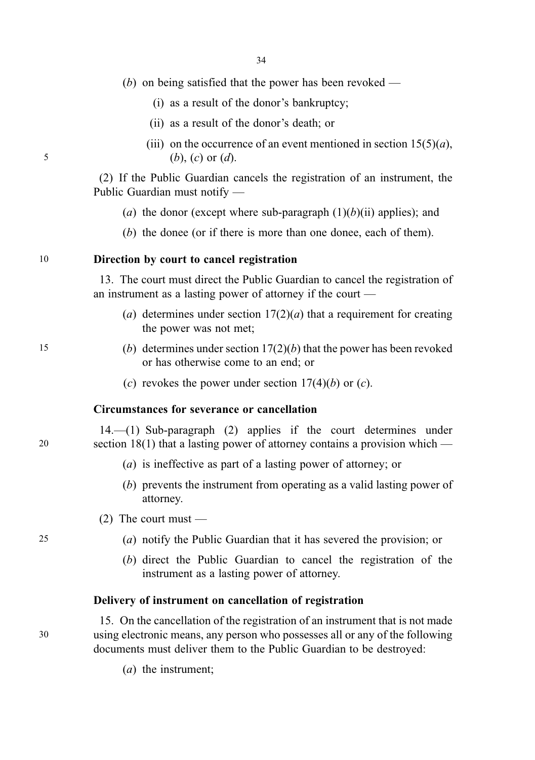|  | $(b)$ on being satisfied that the power has been revoked - |  |  |  |  |  |  |  |  |
|--|------------------------------------------------------------|--|--|--|--|--|--|--|--|
|--|------------------------------------------------------------|--|--|--|--|--|--|--|--|

- (i) as a result of the donor's bankruptcy;
- (ii) as a result of the donor's death; or
- (iii) on the occurrence of an event mentioned in section  $15(5)(a)$ , 5 (b), (c) or  $(d)$ .

(2) If the Public Guardian cancels the registration of an instrument, the Public Guardian must notify —

- (a) the donor (except where sub-paragraph  $(1)(b)(ii)$  applies); and
- (b) the donee (or if there is more than one donee, each of them).

### 10 Direction by court to cancel registration

13. The court must direct the Public Guardian to cancel the registration of an instrument as a lasting power of attorney if the court —

- (a) determines under section  $17(2)(a)$  that a requirement for creating the power was not met;
- 15 (b) determines under section  $17(2)(b)$  that the power has been revoked or has otherwise come to an end; or
	- (c) revokes the power under section  $17(4)(b)$  or (c).

### Circumstances for severance or cancellation

14.—(1) Sub-paragraph (2) applies if the court determines under 20 section 18(1) that a lasting power of attorney contains a provision which —

- (a) is ineffective as part of a lasting power of attorney; or
- (b) prevents the instrument from operating as a valid lasting power of attorney.
- $(2)$  The court must —
- 25 (a) notify the Public Guardian that it has severed the provision; or
	- (b) direct the Public Guardian to cancel the registration of the instrument as a lasting power of attorney.

#### Delivery of instrument on cancellation of registration

15. On the cancellation of the registration of an instrument that is not made 30 using electronic means, any person who possesses all or any of the following documents must deliver them to the Public Guardian to be destroyed:

(a) the instrument;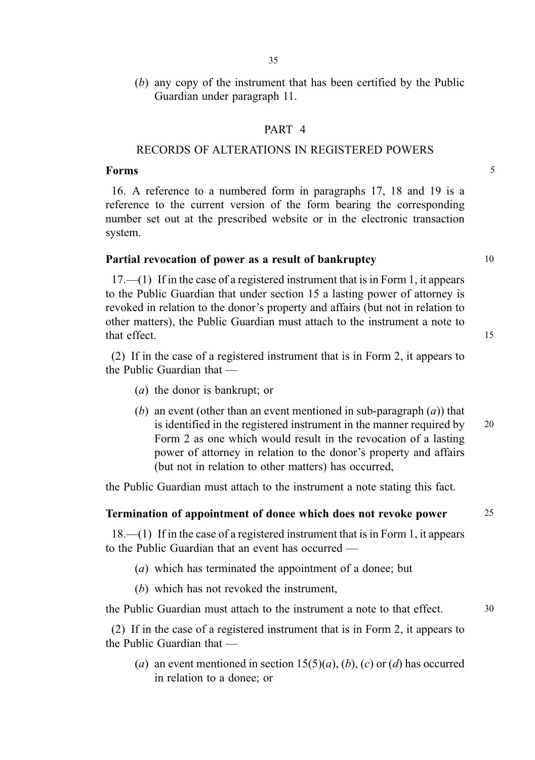(b) any copy of the instrument that has been certified by the Public Guardian under paragraph 11.

### PART 4

## RECORDS OF ALTERATIONS IN REGISTERED POWERS

### Forms 5

16. A reference to a numbered form in paragraphs 17, 18 and 19 is a reference to the current version of the form bearing the corresponding number set out at the prescribed website or in the electronic transaction system.

### Partial revocation of power as a result of bankruptcy 10

17.—(1) If in the case of a registered instrument that is in Form 1, it appears to the Public Guardian that under section 15 a lasting power of attorney is revoked in relation to the donor's property and affairs (but not in relation to other matters), the Public Guardian must attach to the instrument a note to that effect. 15

(2) If in the case of a registered instrument that is in Form 2, it appears to the Public Guardian that —

- (a) the donor is bankrupt; or
- (b) an event (other than an event mentioned in sub-paragraph  $(a)$ ) that is identified in the registered instrument in the manner required by  $20$ Form 2 as one which would result in the revocation of a lasting power of attorney in relation to the donor's property and affairs (but not in relation to other matters) has occurred,

the Public Guardian must attach to the instrument a note stating this fact.

### Termination of appointment of donee which does not revoke power 25

18.—(1) If in the case of a registered instrument that is in Form 1, it appears to the Public Guardian that an event has occurred —

- (a) which has terminated the appointment of a donee; but
- (b) which has not revoked the instrument,

the Public Guardian must attach to the instrument a note to that effect. 30

(2) If in the case of a registered instrument that is in Form 2, it appears to the Public Guardian that —

(a) an event mentioned in section  $15(5)(a)$ , (b), (c) or (d) has occurred in relation to a donee; or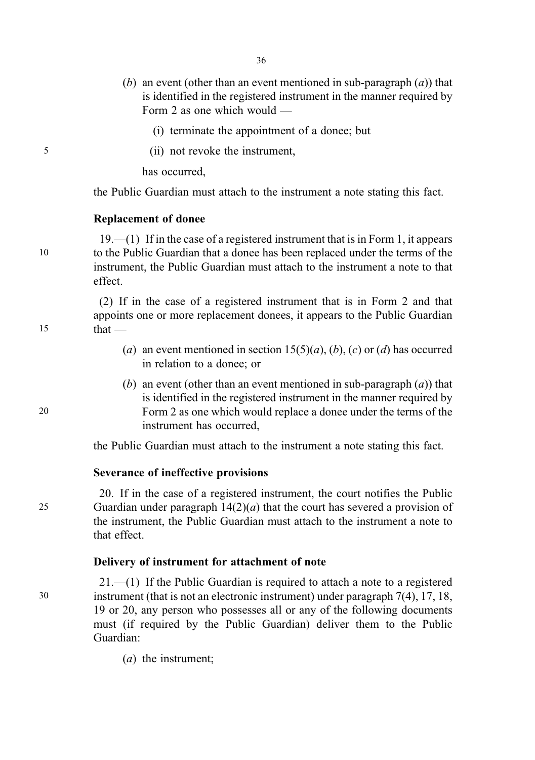- (b) an event (other than an event mentioned in sub-paragraph  $(a)$ ) that is identified in the registered instrument in the manner required by Form 2 as one which would —
	- (i) terminate the appointment of a donee; but
- 5 (ii) not revoke the instrument,

has occurred,

the Public Guardian must attach to the instrument a note stating this fact.

#### Replacement of donee

19.—(1) If in the case of a registered instrument that is in Form 1, it appears 10 to the Public Guardian that a donee has been replaced under the terms of the instrument, the Public Guardian must attach to the instrument a note to that effect.

(2) If in the case of a registered instrument that is in Form 2 and that appoints one or more replacement donees, it appears to the Public Guardian  $15$  that —

- (a) an event mentioned in section  $15(5)(a)$ , (b), (c) or (d) has occurred in relation to a donee; or
- (b) an event (other than an event mentioned in sub-paragraph  $(a)$ ) that is identified in the registered instrument in the manner required by 20 Form 2 as one which would replace a donee under the terms of the instrument has occurred,

the Public Guardian must attach to the instrument a note stating this fact.

### Severance of ineffective provisions

20. If in the case of a registered instrument, the court notifies the Public 25 Guardian under paragraph  $14(2)(a)$  that the court has severed a provision of the instrument, the Public Guardian must attach to the instrument a note to that effect.

### Delivery of instrument for attachment of note

21.—(1) If the Public Guardian is required to attach a note to a registered 30 instrument (that is not an electronic instrument) under paragraph 7(4), 17, 18, 19 or 20, any person who possesses all or any of the following documents must (if required by the Public Guardian) deliver them to the Public Guardian:

(a) the instrument;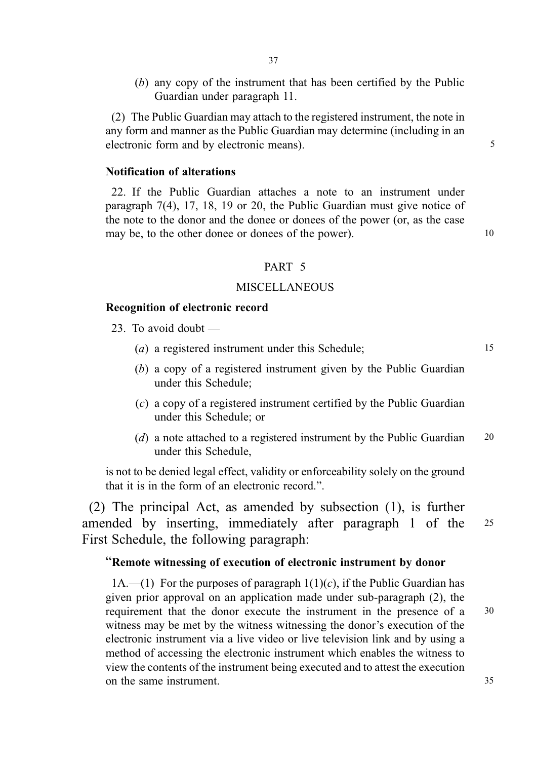(b) any copy of the instrument that has been certified by the Public Guardian under paragraph 11.

(2) The Public Guardian may attach to the registered instrument, the note in any form and manner as the Public Guardian may determine (including in an electronic form and by electronic means). 5

### Notification of alterations

22. If the Public Guardian attaches a note to an instrument under paragraph 7(4), 17, 18, 19 or 20, the Public Guardian must give notice of the note to the donor and the donee or donees of the power (or, as the case may be, to the other donee or donees of the power). 10

#### PART 5

#### **MISCELLANEOUS**

### Recognition of electronic record

- 23. To avoid doubt
	- (a) a registered instrument under this Schedule; 15
	- (b) a copy of a registered instrument given by the Public Guardian under this Schedule;
	- (c) a copy of a registered instrument certified by the Public Guardian under this Schedule; or
	- (d) a note attached to a registered instrument by the Public Guardian 20 under this Schedule,

is not to be denied legal effect, validity or enforceability solely on the ground that it is in the form of an electronic record.".

(2) The principal Act, as amended by subsection (1), is further amended by inserting, immediately after paragraph 1 of the <sup>25</sup> First Schedule, the following paragraph:

### "Remote witnessing of execution of electronic instrument by donor

1A.—(1) For the purposes of paragraph  $1(1)(c)$ , if the Public Guardian has given prior approval on an application made under sub-paragraph (2), the requirement that the donor execute the instrument in the presence of a 30 witness may be met by the witness witnessing the donor's execution of the electronic instrument via a live video or live television link and by using a method of accessing the electronic instrument which enables the witness to view the contents of the instrument being executed and to attest the execution on the same instrument. 35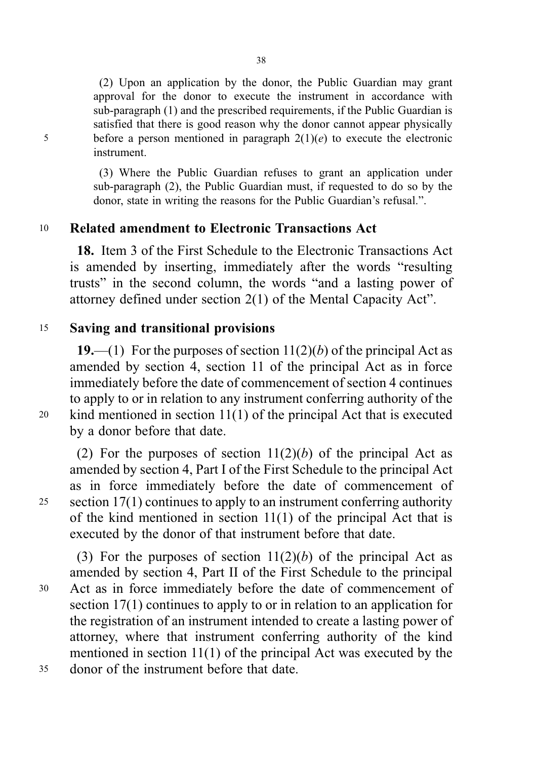(2) Upon an application by the donor, the Public Guardian may grant approval for the donor to execute the instrument in accordance with sub-paragraph (1) and the prescribed requirements, if the Public Guardian is satisfied that there is good reason why the donor cannot appear physically 5 before a person mentioned in paragraph  $2(1)(e)$  to execute the electronic instrument.

> (3) Where the Public Guardian refuses to grant an application under sub-paragraph (2), the Public Guardian must, if requested to do so by the donor, state in writing the reasons for the Public Guardian's refusal.".

# <sup>10</sup> Related amendment to Electronic Transactions Act

18. Item 3 of the First Schedule to the Electronic Transactions Act is amended by inserting, immediately after the words "resulting trusts" in the second column, the words "and a lasting power of attorney defined under section 2(1) of the Mental Capacity Act".

# <sup>15</sup> Saving and transitional provisions

19.—(1) For the purposes of section  $11(2)(b)$  of the principal Act as amended by section 4, section 11 of the principal Act as in force immediately before the date of commencement of section 4 continues to apply to or in relation to any instrument conferring authority of the <sup>20</sup> kind mentioned in section 11(1) of the principal Act that is executed by a donor before that date.

(2) For the purposes of section  $11(2)(b)$  of the principal Act as amended by section 4, Part I of the First Schedule to the principal Act as in force immediately before the date of commencement of <sup>25</sup> section 17(1) continues to apply to an instrument conferring authority of the kind mentioned in section 11(1) of the principal Act that is executed by the donor of that instrument before that date.

(3) For the purposes of section  $11(2)(b)$  of the principal Act as amended by section 4, Part II of the First Schedule to the principal <sup>30</sup> Act as in force immediately before the date of commencement of section 17(1) continues to apply to or in relation to an application for the registration of an instrument intended to create a lasting power of attorney, where that instrument conferring authority of the kind mentioned in section 11(1) of the principal Act was executed by the <sup>35</sup> donor of the instrument before that date.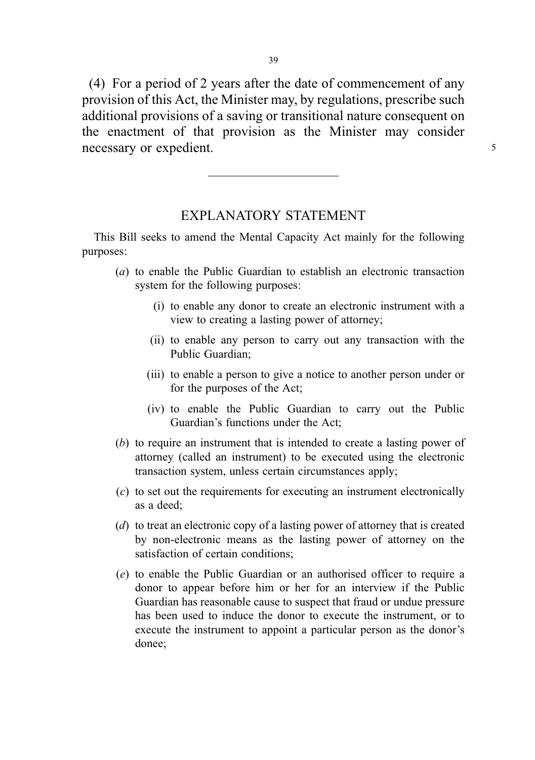(4) For a period of 2 years after the date of commencement of any provision of this Act, the Minister may, by regulations, prescribe such additional provisions of a saving or transitional nature consequent on the enactment of that provision as the Minister may consider necessary or expedient.  $\frac{5}{5}$ 

## EXPLANATORY STATEMENT

This Bill seeks to amend the Mental Capacity Act mainly for the following purposes:

- (a) to enable the Public Guardian to establish an electronic transaction system for the following purposes:
	- (i) to enable any donor to create an electronic instrument with a view to creating a lasting power of attorney;
	- (ii) to enable any person to carry out any transaction with the Public Guardian;
	- (iii) to enable a person to give a notice to another person under or for the purposes of the Act;
	- (iv) to enable the Public Guardian to carry out the Public Guardian's functions under the Act;
- (b) to require an instrument that is intended to create a lasting power of attorney (called an instrument) to be executed using the electronic transaction system, unless certain circumstances apply;
- (c) to set out the requirements for executing an instrument electronically as a deed;
- (d) to treat an electronic copy of a lasting power of attorney that is created by non-electronic means as the lasting power of attorney on the satisfaction of certain conditions;
- (e) to enable the Public Guardian or an authorised officer to require a donor to appear before him or her for an interview if the Public Guardian has reasonable cause to suspect that fraud or undue pressure has been used to induce the donor to execute the instrument, or to execute the instrument to appoint a particular person as the donor's donee;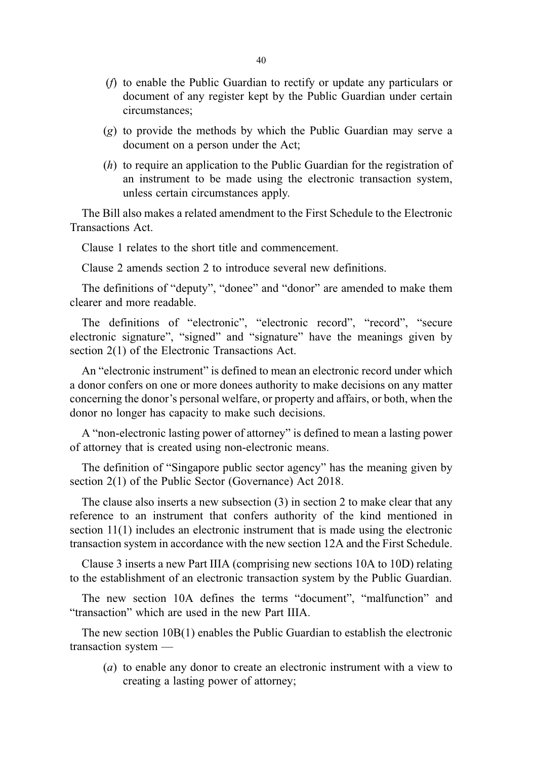- (f) to enable the Public Guardian to rectify or update any particulars or document of any register kept by the Public Guardian under certain circumstances;
- (g) to provide the methods by which the Public Guardian may serve a document on a person under the Act;
- (h) to require an application to the Public Guardian for the registration of an instrument to be made using the electronic transaction system, unless certain circumstances apply.

The Bill also makes a related amendment to the First Schedule to the Electronic Transactions Act.

Clause 1 relates to the short title and commencement.

Clause 2 amends section 2 to introduce several new definitions.

The definitions of "deputy", "donee" and "donor" are amended to make them clearer and more readable.

The definitions of "electronic", "electronic record", "record", "secure electronic signature", "signed" and "signature" have the meanings given by section 2(1) of the Electronic Transactions Act.

An "electronic instrument" is defined to mean an electronic record under which a donor confers on one or more donees authority to make decisions on any matter concerning the donor's personal welfare, or property and affairs, or both, when the donor no longer has capacity to make such decisions.

A "non-electronic lasting power of attorney" is defined to mean a lasting power of attorney that is created using non-electronic means.

The definition of "Singapore public sector agency" has the meaning given by section 2(1) of the Public Sector (Governance) Act 2018.

The clause also inserts a new subsection (3) in section 2 to make clear that any reference to an instrument that confers authority of the kind mentioned in section 11(1) includes an electronic instrument that is made using the electronic transaction system in accordance with the new section 12A and the First Schedule.

Clause 3 inserts a new Part IIIA (comprising new sections 10A to 10D) relating to the establishment of an electronic transaction system by the Public Guardian.

The new section 10A defines the terms "document", "malfunction" and "transaction" which are used in the new Part IIIA.

The new section 10B(1) enables the Public Guardian to establish the electronic transaction system —

(a) to enable any donor to create an electronic instrument with a view to creating a lasting power of attorney;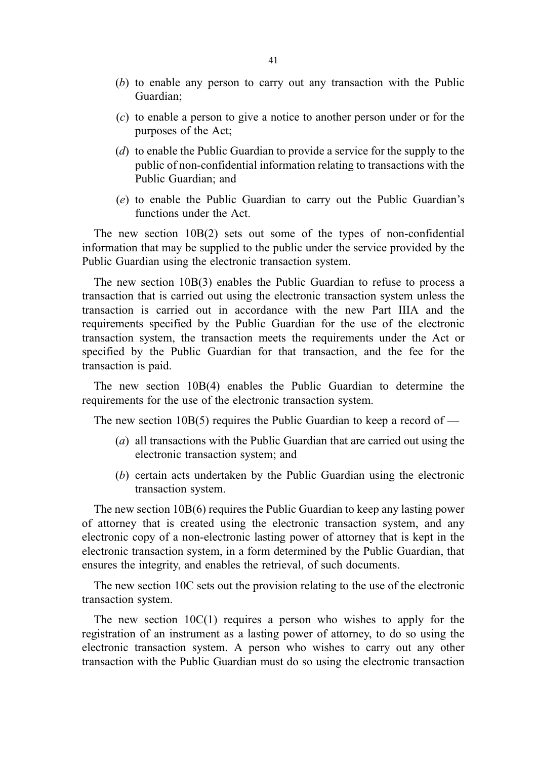- (b) to enable any person to carry out any transaction with the Public Guardian;
- (c) to enable a person to give a notice to another person under or for the purposes of the Act;
- (d) to enable the Public Guardian to provide a service for the supply to the public of non-confidential information relating to transactions with the Public Guardian; and
- (e) to enable the Public Guardian to carry out the Public Guardian's functions under the Act.

The new section 10B(2) sets out some of the types of non-confidential information that may be supplied to the public under the service provided by the Public Guardian using the electronic transaction system.

The new section 10B(3) enables the Public Guardian to refuse to process a transaction that is carried out using the electronic transaction system unless the transaction is carried out in accordance with the new Part IIIA and the requirements specified by the Public Guardian for the use of the electronic transaction system, the transaction meets the requirements under the Act or specified by the Public Guardian for that transaction, and the fee for the transaction is paid.

The new section 10B(4) enables the Public Guardian to determine the requirements for the use of the electronic transaction system.

The new section 10B(5) requires the Public Guardian to keep a record of  $-$ 

- (a) all transactions with the Public Guardian that are carried out using the electronic transaction system; and
- (b) certain acts undertaken by the Public Guardian using the electronic transaction system.

The new section 10B(6) requires the Public Guardian to keep any lasting power of attorney that is created using the electronic transaction system, and any electronic copy of a non-electronic lasting power of attorney that is kept in the electronic transaction system, in a form determined by the Public Guardian, that ensures the integrity, and enables the retrieval, of such documents.

The new section 10C sets out the provision relating to the use of the electronic transaction system.

The new section  $10C(1)$  requires a person who wishes to apply for the registration of an instrument as a lasting power of attorney, to do so using the electronic transaction system. A person who wishes to carry out any other transaction with the Public Guardian must do so using the electronic transaction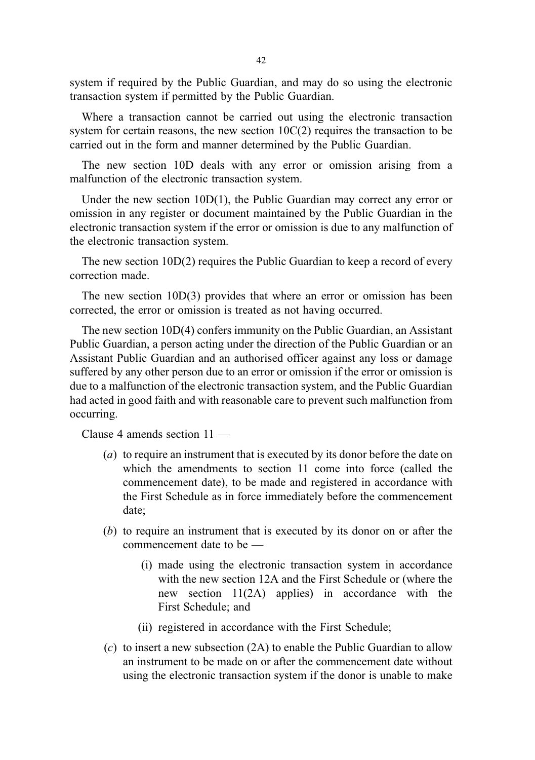system if required by the Public Guardian, and may do so using the electronic transaction system if permitted by the Public Guardian.

Where a transaction cannot be carried out using the electronic transaction system for certain reasons, the new section  $10C(2)$  requires the transaction to be carried out in the form and manner determined by the Public Guardian.

The new section 10D deals with any error or omission arising from a malfunction of the electronic transaction system.

Under the new section 10D(1), the Public Guardian may correct any error or omission in any register or document maintained by the Public Guardian in the electronic transaction system if the error or omission is due to any malfunction of the electronic transaction system.

The new section 10D(2) requires the Public Guardian to keep a record of every correction made.

The new section 10D(3) provides that where an error or omission has been corrected, the error or omission is treated as not having occurred.

The new section 10D(4) confers immunity on the Public Guardian, an Assistant Public Guardian, a person acting under the direction of the Public Guardian or an Assistant Public Guardian and an authorised officer against any loss or damage suffered by any other person due to an error or omission if the error or omission is due to a malfunction of the electronic transaction system, and the Public Guardian had acted in good faith and with reasonable care to prevent such malfunction from occurring.

Clause 4 amends section 11 —

- (a) to require an instrument that is executed by its donor before the date on which the amendments to section 11 come into force (called the commencement date), to be made and registered in accordance with the First Schedule as in force immediately before the commencement date;
- (b) to require an instrument that is executed by its donor on or after the commencement date to be —
	- (i) made using the electronic transaction system in accordance with the new section 12A and the First Schedule or (where the new section 11(2A) applies) in accordance with the First Schedule; and
	- (ii) registered in accordance with the First Schedule;
- (c) to insert a new subsection (2A) to enable the Public Guardian to allow an instrument to be made on or after the commencement date without using the electronic transaction system if the donor is unable to make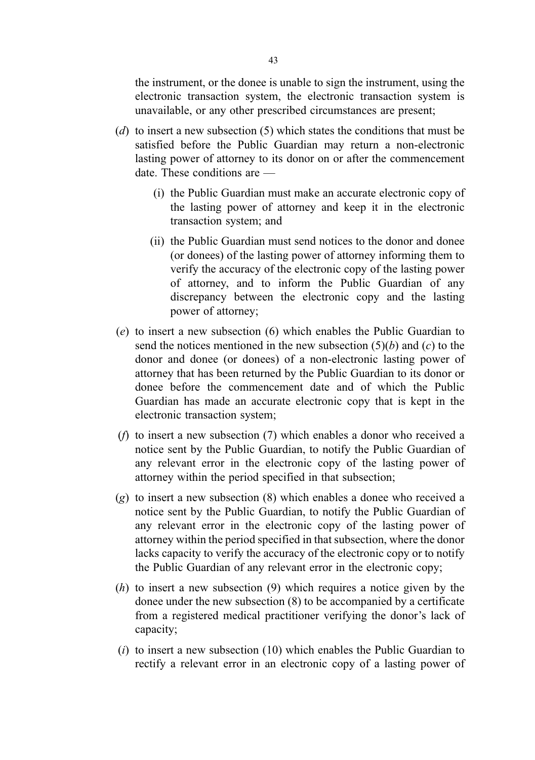the instrument, or the donee is unable to sign the instrument, using the electronic transaction system, the electronic transaction system is unavailable, or any other prescribed circumstances are present;

- (d) to insert a new subsection (5) which states the conditions that must be satisfied before the Public Guardian may return a non-electronic lasting power of attorney to its donor on or after the commencement date. These conditions are —
	- (i) the Public Guardian must make an accurate electronic copy of the lasting power of attorney and keep it in the electronic transaction system; and
	- (ii) the Public Guardian must send notices to the donor and donee (or donees) of the lasting power of attorney informing them to verify the accuracy of the electronic copy of the lasting power of attorney, and to inform the Public Guardian of any discrepancy between the electronic copy and the lasting power of attorney;
- (e) to insert a new subsection (6) which enables the Public Guardian to send the notices mentioned in the new subsection  $(5)(b)$  and  $(c)$  to the donor and donee (or donees) of a non-electronic lasting power of attorney that has been returned by the Public Guardian to its donor or donee before the commencement date and of which the Public Guardian has made an accurate electronic copy that is kept in the electronic transaction system;
- (f) to insert a new subsection (7) which enables a donor who received a notice sent by the Public Guardian, to notify the Public Guardian of any relevant error in the electronic copy of the lasting power of attorney within the period specified in that subsection;
- (g) to insert a new subsection (8) which enables a donee who received a notice sent by the Public Guardian, to notify the Public Guardian of any relevant error in the electronic copy of the lasting power of attorney within the period specified in that subsection, where the donor lacks capacity to verify the accuracy of the electronic copy or to notify the Public Guardian of any relevant error in the electronic copy;
- (h) to insert a new subsection (9) which requires a notice given by the donee under the new subsection (8) to be accompanied by a certificate from a registered medical practitioner verifying the donor's lack of capacity;
- $(i)$  to insert a new subsection (10) which enables the Public Guardian to rectify a relevant error in an electronic copy of a lasting power of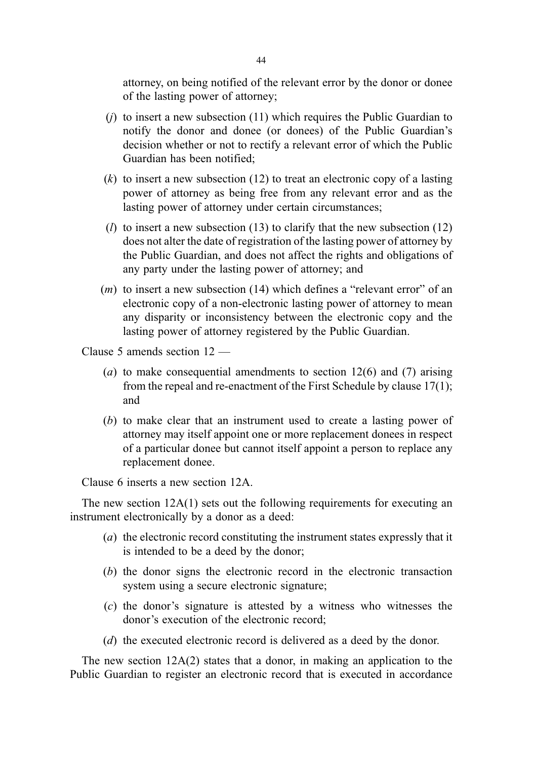attorney, on being notified of the relevant error by the donor or donee of the lasting power of attorney;

- (*j*) to insert a new subsection  $(11)$  which requires the Public Guardian to notify the donor and donee (or donees) of the Public Guardian's decision whether or not to rectify a relevant error of which the Public Guardian has been notified;
- $(k)$  to insert a new subsection (12) to treat an electronic copy of a lasting power of attorney as being free from any relevant error and as the lasting power of attorney under certain circumstances;
- (*l*) to insert a new subsection (13) to clarify that the new subsection (12) does not alter the date of registration of the lasting power of attorney by the Public Guardian, and does not affect the rights and obligations of any party under the lasting power of attorney; and
- (m) to insert a new subsection (14) which defines a "relevant error" of an electronic copy of a non-electronic lasting power of attorney to mean any disparity or inconsistency between the electronic copy and the lasting power of attorney registered by the Public Guardian.

Clause 5 amends section 12 —

- (a) to make consequential amendments to section  $12(6)$  and (7) arising from the repeal and re-enactment of the First Schedule by clause 17(1); and
- (b) to make clear that an instrument used to create a lasting power of attorney may itself appoint one or more replacement donees in respect of a particular donee but cannot itself appoint a person to replace any replacement donee.

Clause 6 inserts a new section 12A.

The new section 12A(1) sets out the following requirements for executing an instrument electronically by a donor as a deed:

- (a) the electronic record constituting the instrument states expressly that it is intended to be a deed by the donor;
- (b) the donor signs the electronic record in the electronic transaction system using a secure electronic signature;
- (c) the donor's signature is attested by a witness who witnesses the donor's execution of the electronic record;
- (d) the executed electronic record is delivered as a deed by the donor.

The new section 12A(2) states that a donor, in making an application to the Public Guardian to register an electronic record that is executed in accordance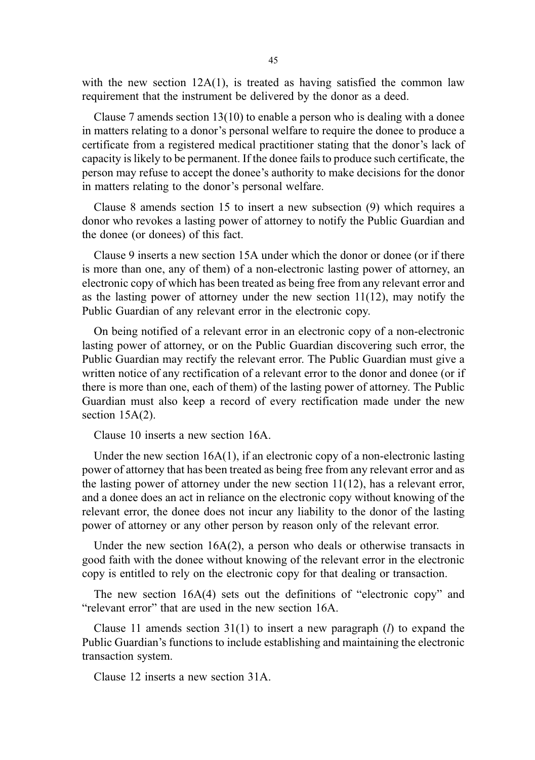with the new section  $12A(1)$ , is treated as having satisfied the common law requirement that the instrument be delivered by the donor as a deed.

Clause 7 amends section  $13(10)$  to enable a person who is dealing with a donee in matters relating to a donor's personal welfare to require the donee to produce a certificate from a registered medical practitioner stating that the donor's lack of capacity is likely to be permanent. If the donee fails to produce such certificate, the person may refuse to accept the donee's authority to make decisions for the donor in matters relating to the donor's personal welfare.

Clause 8 amends section 15 to insert a new subsection (9) which requires a donor who revokes a lasting power of attorney to notify the Public Guardian and the donee (or donees) of this fact.

Clause 9 inserts a new section 15A under which the donor or donee (or if there is more than one, any of them) of a non-electronic lasting power of attorney, an electronic copy of which has been treated as being free from any relevant error and as the lasting power of attorney under the new section  $11(12)$ , may notify the Public Guardian of any relevant error in the electronic copy.

On being notified of a relevant error in an electronic copy of a non-electronic lasting power of attorney, or on the Public Guardian discovering such error, the Public Guardian may rectify the relevant error. The Public Guardian must give a written notice of any rectification of a relevant error to the donor and donee (or if there is more than one, each of them) of the lasting power of attorney. The Public Guardian must also keep a record of every rectification made under the new section 15A(2).

Clause 10 inserts a new section 16A.

Under the new section  $16A(1)$ , if an electronic copy of a non-electronic lasting power of attorney that has been treated as being free from any relevant error and as the lasting power of attorney under the new section  $11(12)$ , has a relevant error, and a donee does an act in reliance on the electronic copy without knowing of the relevant error, the donee does not incur any liability to the donor of the lasting power of attorney or any other person by reason only of the relevant error.

Under the new section 16A(2), a person who deals or otherwise transacts in good faith with the donee without knowing of the relevant error in the electronic copy is entitled to rely on the electronic copy for that dealing or transaction.

The new section 16A(4) sets out the definitions of "electronic copy" and "relevant error" that are used in the new section 16A.

Clause 11 amends section  $31(1)$  to insert a new paragraph (*l*) to expand the Public Guardian's functions to include establishing and maintaining the electronic transaction system.

Clause 12 inserts a new section 31A.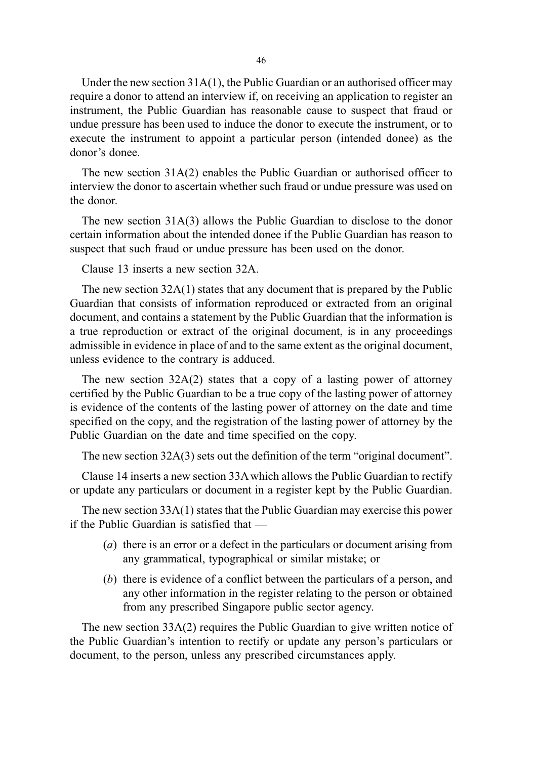Under the new section 31A(1), the Public Guardian or an authorised officer may require a donor to attend an interview if, on receiving an application to register an instrument, the Public Guardian has reasonable cause to suspect that fraud or undue pressure has been used to induce the donor to execute the instrument, or to execute the instrument to appoint a particular person (intended donee) as the donor's donee.

The new section 31A(2) enables the Public Guardian or authorised officer to interview the donor to ascertain whether such fraud or undue pressure was used on the donor.

The new section 31A(3) allows the Public Guardian to disclose to the donor certain information about the intended donee if the Public Guardian has reason to suspect that such fraud or undue pressure has been used on the donor.

Clause 13 inserts a new section 32A.

The new section 32A(1) states that any document that is prepared by the Public Guardian that consists of information reproduced or extracted from an original document, and contains a statement by the Public Guardian that the information is a true reproduction or extract of the original document, is in any proceedings admissible in evidence in place of and to the same extent as the original document, unless evidence to the contrary is adduced.

The new section 32A(2) states that a copy of a lasting power of attorney certified by the Public Guardian to be a true copy of the lasting power of attorney is evidence of the contents of the lasting power of attorney on the date and time specified on the copy, and the registration of the lasting power of attorney by the Public Guardian on the date and time specified on the copy.

The new section 32A(3) sets out the definition of the term "original document".

Clause 14 inserts a new section 33Awhich allows the Public Guardian to rectify or update any particulars or document in a register kept by the Public Guardian.

The new section 33A(1) states that the Public Guardian may exercise this power if the Public Guardian is satisfied that —

- (a) there is an error or a defect in the particulars or document arising from any grammatical, typographical or similar mistake; or
- (b) there is evidence of a conflict between the particulars of a person, and any other information in the register relating to the person or obtained from any prescribed Singapore public sector agency.

The new section 33A(2) requires the Public Guardian to give written notice of the Public Guardian's intention to rectify or update any person's particulars or document, to the person, unless any prescribed circumstances apply.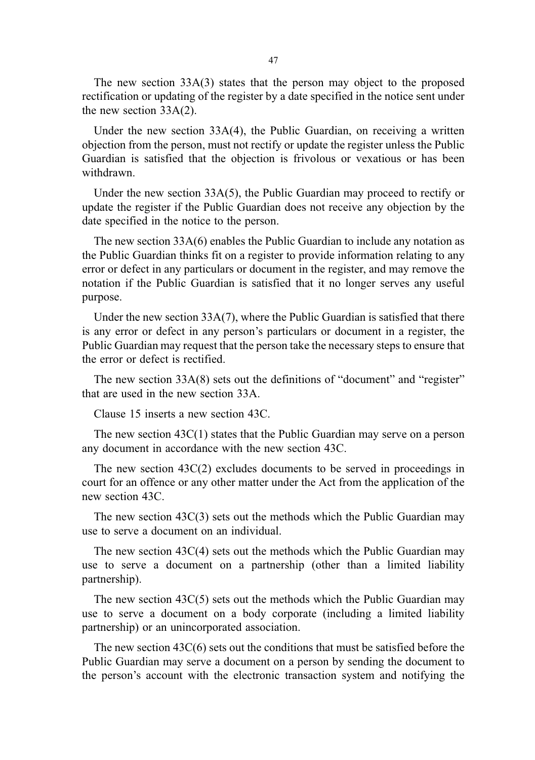The new section 33A(3) states that the person may object to the proposed rectification or updating of the register by a date specified in the notice sent under the new section 33A(2).

Under the new section 33A(4), the Public Guardian, on receiving a written objection from the person, must not rectify or update the register unless the Public Guardian is satisfied that the objection is frivolous or vexatious or has been withdrawn.

Under the new section 33A(5), the Public Guardian may proceed to rectify or update the register if the Public Guardian does not receive any objection by the date specified in the notice to the person.

The new section 33A(6) enables the Public Guardian to include any notation as the Public Guardian thinks fit on a register to provide information relating to any error or defect in any particulars or document in the register, and may remove the notation if the Public Guardian is satisfied that it no longer serves any useful purpose.

Under the new section 33A(7), where the Public Guardian is satisfied that there is any error or defect in any person's particulars or document in a register, the Public Guardian may request that the person take the necessary steps to ensure that the error or defect is rectified.

The new section 33A(8) sets out the definitions of "document" and "register" that are used in the new section 33A.

Clause 15 inserts a new section 43C.

The new section 43C(1) states that the Public Guardian may serve on a person any document in accordance with the new section 43C.

The new section 43C(2) excludes documents to be served in proceedings in court for an offence or any other matter under the Act from the application of the new section 43C.

The new section 43C(3) sets out the methods which the Public Guardian may use to serve a document on an individual.

The new section 43C(4) sets out the methods which the Public Guardian may use to serve a document on a partnership (other than a limited liability partnership).

The new section  $43C(5)$  sets out the methods which the Public Guardian may use to serve a document on a body corporate (including a limited liability partnership) or an unincorporated association.

The new section  $43C(6)$  sets out the conditions that must be satisfied before the Public Guardian may serve a document on a person by sending the document to the person's account with the electronic transaction system and notifying the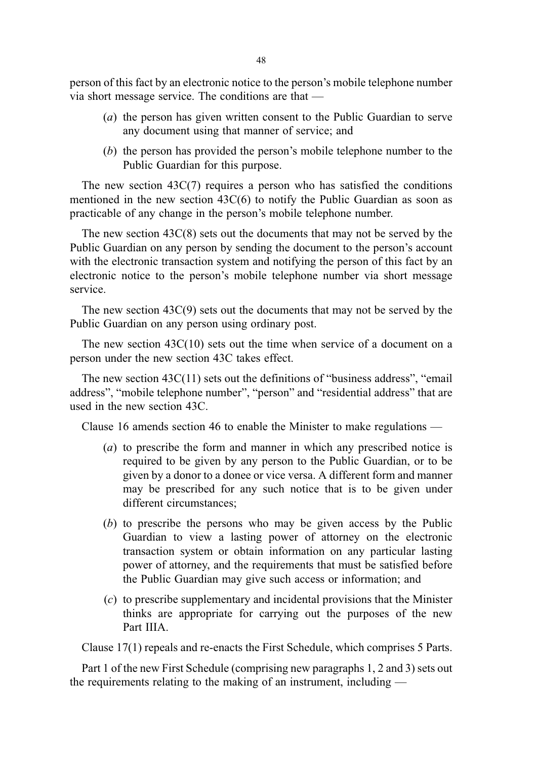48

person of this fact by an electronic notice to the person's mobile telephone number via short message service. The conditions are that —

- (a) the person has given written consent to the Public Guardian to serve any document using that manner of service; and
- (b) the person has provided the person's mobile telephone number to the Public Guardian for this purpose.

The new section  $43C(7)$  requires a person who has satisfied the conditions mentioned in the new section 43C(6) to notify the Public Guardian as soon as practicable of any change in the person's mobile telephone number.

The new section 43C(8) sets out the documents that may not be served by the Public Guardian on any person by sending the document to the person's account with the electronic transaction system and notifying the person of this fact by an electronic notice to the person's mobile telephone number via short message service.

The new section 43C(9) sets out the documents that may not be served by the Public Guardian on any person using ordinary post.

The new section  $43C(10)$  sets out the time when service of a document on a person under the new section 43C takes effect.

The new section 43C(11) sets out the definitions of "business address", "email address", "mobile telephone number", "person" and "residential address" that are used in the new section 43C.

Clause 16 amends section 46 to enable the Minister to make regulations —

- (a) to prescribe the form and manner in which any prescribed notice is required to be given by any person to the Public Guardian, or to be given by a donor to a donee or vice versa. A different form and manner may be prescribed for any such notice that is to be given under different circumstances;
- (b) to prescribe the persons who may be given access by the Public Guardian to view a lasting power of attorney on the electronic transaction system or obtain information on any particular lasting power of attorney, and the requirements that must be satisfied before the Public Guardian may give such access or information; and
- (c) to prescribe supplementary and incidental provisions that the Minister thinks are appropriate for carrying out the purposes of the new Part IIIA.

Clause 17(1) repeals and re-enacts the First Schedule, which comprises 5 Parts.

Part 1 of the new First Schedule (comprising new paragraphs 1, 2 and 3) sets out the requirements relating to the making of an instrument, including —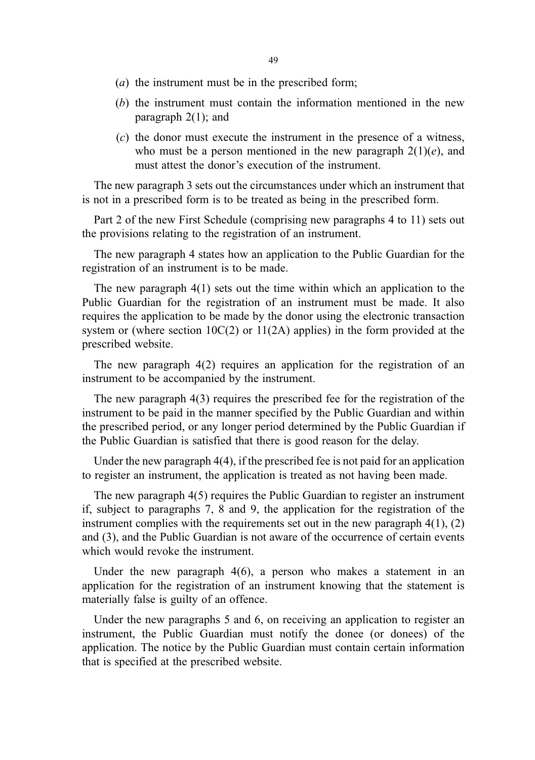- (a) the instrument must be in the prescribed form;
- (b) the instrument must contain the information mentioned in the new paragraph  $2(1)$ ; and
- (c) the donor must execute the instrument in the presence of a witness, who must be a person mentioned in the new paragraph  $2(1)(e)$ , and must attest the donor's execution of the instrument.

The new paragraph 3 sets out the circumstances under which an instrument that is not in a prescribed form is to be treated as being in the prescribed form.

Part 2 of the new First Schedule (comprising new paragraphs 4 to 11) sets out the provisions relating to the registration of an instrument.

The new paragraph 4 states how an application to the Public Guardian for the registration of an instrument is to be made.

The new paragraph 4(1) sets out the time within which an application to the Public Guardian for the registration of an instrument must be made. It also requires the application to be made by the donor using the electronic transaction system or (where section 10C(2) or 11(2A) applies) in the form provided at the prescribed website.

The new paragraph 4(2) requires an application for the registration of an instrument to be accompanied by the instrument.

The new paragraph 4(3) requires the prescribed fee for the registration of the instrument to be paid in the manner specified by the Public Guardian and within the prescribed period, or any longer period determined by the Public Guardian if the Public Guardian is satisfied that there is good reason for the delay.

Under the new paragraph 4(4), if the prescribed fee is not paid for an application to register an instrument, the application is treated as not having been made.

The new paragraph 4(5) requires the Public Guardian to register an instrument if, subject to paragraphs 7, 8 and 9, the application for the registration of the instrument complies with the requirements set out in the new paragraph  $4(1)$ ,  $(2)$ and (3), and the Public Guardian is not aware of the occurrence of certain events which would revoke the instrument.

Under the new paragraph 4(6), a person who makes a statement in an application for the registration of an instrument knowing that the statement is materially false is guilty of an offence.

Under the new paragraphs 5 and 6, on receiving an application to register an instrument, the Public Guardian must notify the donee (or donees) of the application. The notice by the Public Guardian must contain certain information that is specified at the prescribed website.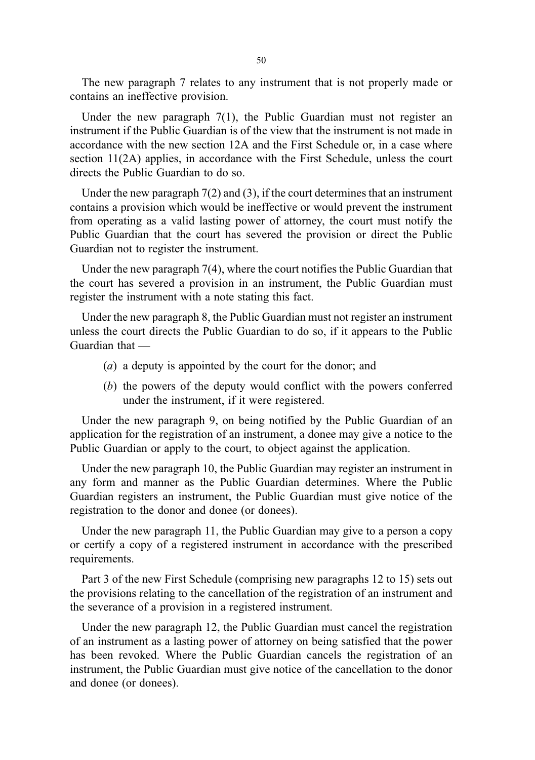The new paragraph 7 relates to any instrument that is not properly made or contains an ineffective provision.

Under the new paragraph 7(1), the Public Guardian must not register an instrument if the Public Guardian is of the view that the instrument is not made in accordance with the new section 12A and the First Schedule or, in a case where section 11(2A) applies, in accordance with the First Schedule, unless the court directs the Public Guardian to do so.

Under the new paragraph 7(2) and (3), if the court determines that an instrument contains a provision which would be ineffective or would prevent the instrument from operating as a valid lasting power of attorney, the court must notify the Public Guardian that the court has severed the provision or direct the Public Guardian not to register the instrument.

Under the new paragraph 7(4), where the court notifies the Public Guardian that the court has severed a provision in an instrument, the Public Guardian must register the instrument with a note stating this fact.

Under the new paragraph 8, the Public Guardian must not register an instrument unless the court directs the Public Guardian to do so, if it appears to the Public Guardian that —

- (a) a deputy is appointed by the court for the donor; and
- (b) the powers of the deputy would conflict with the powers conferred under the instrument, if it were registered.

Under the new paragraph 9, on being notified by the Public Guardian of an application for the registration of an instrument, a donee may give a notice to the Public Guardian or apply to the court, to object against the application.

Under the new paragraph 10, the Public Guardian may register an instrument in any form and manner as the Public Guardian determines. Where the Public Guardian registers an instrument, the Public Guardian must give notice of the registration to the donor and donee (or donees).

Under the new paragraph 11, the Public Guardian may give to a person a copy or certify a copy of a registered instrument in accordance with the prescribed requirements.

Part 3 of the new First Schedule (comprising new paragraphs 12 to 15) sets out the provisions relating to the cancellation of the registration of an instrument and the severance of a provision in a registered instrument.

Under the new paragraph 12, the Public Guardian must cancel the registration of an instrument as a lasting power of attorney on being satisfied that the power has been revoked. Where the Public Guardian cancels the registration of an instrument, the Public Guardian must give notice of the cancellation to the donor and donee (or donees).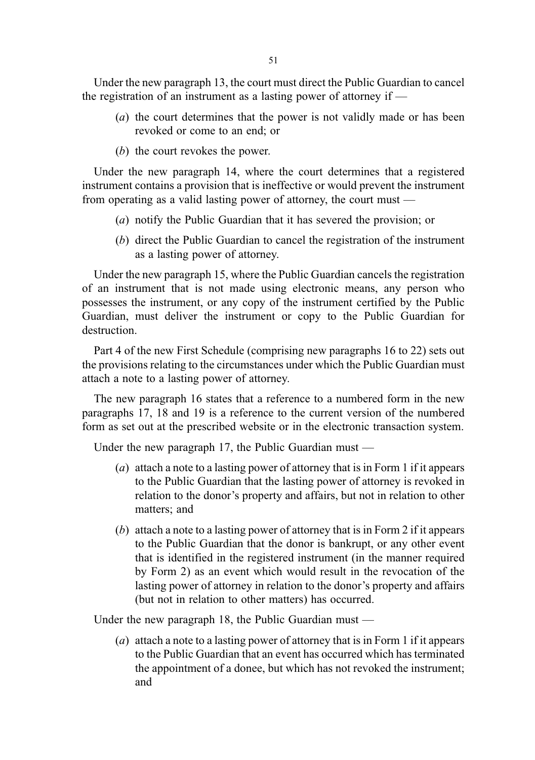Under the new paragraph 13, the court must direct the Public Guardian to cancel the registration of an instrument as a lasting power of attorney if  $-$ 

- (a) the court determines that the power is not validly made or has been revoked or come to an end; or
- (b) the court revokes the power.

Under the new paragraph 14, where the court determines that a registered instrument contains a provision that is ineffective or would prevent the instrument from operating as a valid lasting power of attorney, the court must —

- (a) notify the Public Guardian that it has severed the provision; or
- (b) direct the Public Guardian to cancel the registration of the instrument as a lasting power of attorney.

Under the new paragraph 15, where the Public Guardian cancels the registration of an instrument that is not made using electronic means, any person who possesses the instrument, or any copy of the instrument certified by the Public Guardian, must deliver the instrument or copy to the Public Guardian for destruction.

Part 4 of the new First Schedule (comprising new paragraphs 16 to 22) sets out the provisions relating to the circumstances under which the Public Guardian must attach a note to a lasting power of attorney.

The new paragraph 16 states that a reference to a numbered form in the new paragraphs 17, 18 and 19 is a reference to the current version of the numbered form as set out at the prescribed website or in the electronic transaction system.

Under the new paragraph 17, the Public Guardian must —

- (a) attach a note to a lasting power of attorney that is in Form 1 if it appears to the Public Guardian that the lasting power of attorney is revoked in relation to the donor's property and affairs, but not in relation to other matters; and
- (b) attach a note to a lasting power of attorney that is in Form 2 if it appears to the Public Guardian that the donor is bankrupt, or any other event that is identified in the registered instrument (in the manner required by Form 2) as an event which would result in the revocation of the lasting power of attorney in relation to the donor's property and affairs (but not in relation to other matters) has occurred.

Under the new paragraph 18, the Public Guardian must —

(a) attach a note to a lasting power of attorney that is in Form 1 if it appears to the Public Guardian that an event has occurred which has terminated the appointment of a donee, but which has not revoked the instrument; and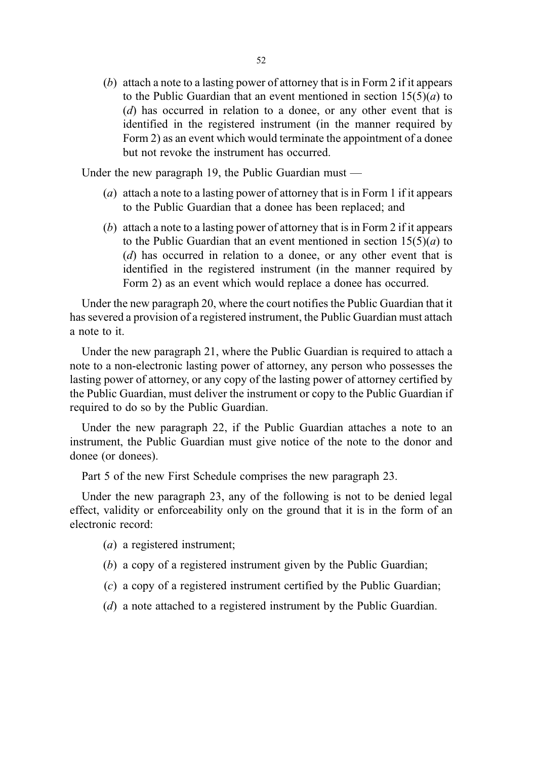(b) attach a note to a lasting power of attorney that is in Form 2 if it appears to the Public Guardian that an event mentioned in section  $15(5)(a)$  to (d) has occurred in relation to a donee, or any other event that is identified in the registered instrument (in the manner required by Form 2) as an event which would terminate the appointment of a donee but not revoke the instrument has occurred.

Under the new paragraph 19, the Public Guardian must —

- (a) attach a note to a lasting power of attorney that is in Form 1 if it appears to the Public Guardian that a donee has been replaced; and
- (b) attach a note to a lasting power of attorney that is in Form 2 if it appears to the Public Guardian that an event mentioned in section  $15(5)(a)$  to (d) has occurred in relation to a donee, or any other event that is identified in the registered instrument (in the manner required by Form 2) as an event which would replace a donee has occurred.

Under the new paragraph 20, where the court notifies the Public Guardian that it has severed a provision of a registered instrument, the Public Guardian must attach a note to it.

Under the new paragraph 21, where the Public Guardian is required to attach a note to a non-electronic lasting power of attorney, any person who possesses the lasting power of attorney, or any copy of the lasting power of attorney certified by the Public Guardian, must deliver the instrument or copy to the Public Guardian if required to do so by the Public Guardian.

Under the new paragraph 22, if the Public Guardian attaches a note to an instrument, the Public Guardian must give notice of the note to the donor and donee (or donees).

Part 5 of the new First Schedule comprises the new paragraph 23.

Under the new paragraph 23, any of the following is not to be denied legal effect, validity or enforceability only on the ground that it is in the form of an electronic record:

(a) a registered instrument;

- (b) a copy of a registered instrument given by the Public Guardian;
- (c) a copy of a registered instrument certified by the Public Guardian;
- (d) a note attached to a registered instrument by the Public Guardian.